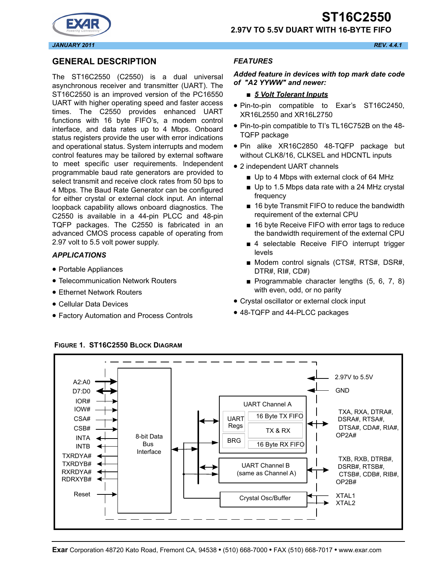**2.97V TO 5.5V DUART WITH 16-BYTE FIFO**



## **GENERAL DESCRIPTION**

The ST16C2550 (C2550) is a dual universal asynchronous receiver and transmitter (UART). The ST16C2550 is an improved version of the PC16550 UART with higher operating speed and faster access times. The C2550 provides enhanced UART functions with 16 byte FIFO's, a modem control interface, and data rates up to 4 Mbps. Onboard status registers provide the user with error indications and operational status. System interrupts and modem control features may be tailored by external software to meet specific user requirements. Independent programmable baud rate generators are provided to select transmit and receive clock rates from 50 bps to 4 Mbps. The Baud Rate Generator can be configured for either crystal or external clock input. An internal loopback capability allows onboard diagnostics. The C2550 is available in a 44-pin PLCC and 48-pin TQFP packages. The C2550 is fabricated in an advanced CMOS process capable of operating from 2.97 volt to 5.5 volt power supply.

### *APPLICATIONS*

- Portable Appliances
- Telecommunication Network Routers
- Ethernet Network Routers
- Cellular Data Devices
- Factory Automation and Process Controls

### *FEATURES*

#### *Added feature in devices with top mark date code of "A2 YYWW" and newer:*

#### ■ 5 Volt Tolerant Inputs

- Pin-to-pin compatible to Exar's ST16C2450, XR16L2550 and XR16L2750
- Pin-to-pin compatible to TI's TL16C752B on the 48- TQFP package
- Pin alike XR16C2850 48-TQFP package but without CLK8/16, CLKSEL and HDCNTL inputs
- 2 independent UART channels
	- Up to 4 Mbps with external clock of 64 MHz
	- Up to 1.5 Mbps data rate with a 24 MHz crystal frequency
	- 16 byte Transmit FIFO to reduce the bandwidth requirement of the external CPU
	- 16 byte Receive FIFO with error tags to reduce the bandwidth requirement of the external CPU
	- 4 selectable Receive FIFO interrupt trigger levels
	- Modem control signals (CTS#, RTS#, DSR#, DTR#, RI#, CD#)
	- Programmable character lengths (5, 6, 7, 8) with even, odd, or no parity
- Crystal oscillator or external clock input
- 48-TQFP and 44-PLCC packages



#### **FIGURE 1. ST16C2550 BLOCK DIAGRAM**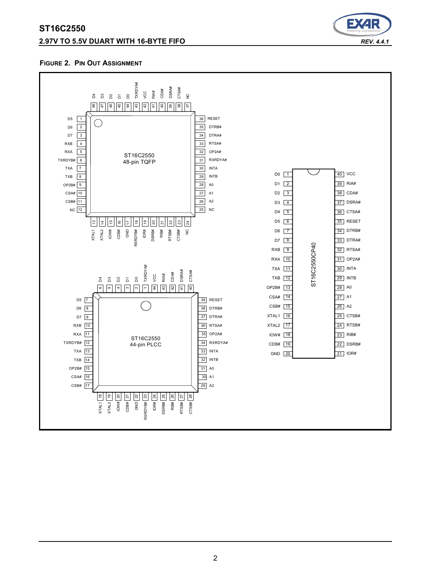## **2.97V TO 5.5V DUART WITH 16-BYTE FIFO** *REV. 4.4.1*



#### **FIGURE 2. PIN OUT ASSIGNMENT**

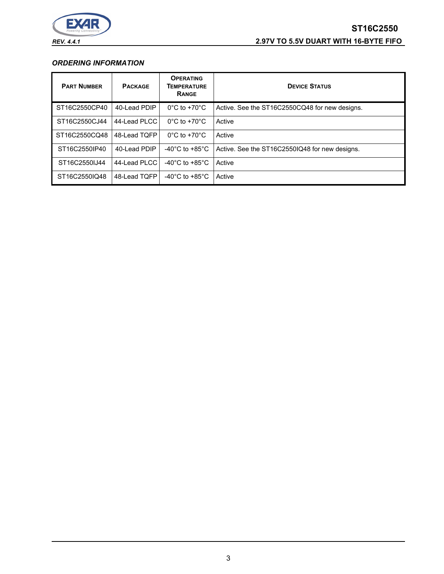

# **ST16C2550** *REV. 4.4.1* **2.97V TO 5.5V DUART WITH 16-BYTE FIFO**

#### *ORDERING INFORMATION*

| <b>PART NUMBER</b> | <b>PACKAGE</b> | <b>OPERATING</b><br><b>TEMPERATURE</b><br>RANGE | <b>DEVICE STATUS</b>                           |
|--------------------|----------------|-------------------------------------------------|------------------------------------------------|
| ST16C2550CP40      | 40-Lead PDIP   | $0^{\circ}$ C to +70 $^{\circ}$ C               | Active. See the ST16C2550CQ48 for new designs. |
| ST16C2550CJ44      | 44-Lead PLCC   | $0^{\circ}$ C to +70 $^{\circ}$ C               | Active                                         |
| ST16C2550CQ48      | 48-Lead TQFP   | $0^{\circ}$ C to +70 $^{\circ}$ C               | Active                                         |
| ST16C2550IP40      | 40-Lead PDIP   | -40 $^{\circ}$ C to +85 $^{\circ}$ C            | Active. See the ST16C2550IQ48 for new designs. |
| ST16C2550IJ44      | 44-Lead PLCC   | -40 $^{\circ}$ C to +85 $^{\circ}$ C            | Active                                         |
| ST16C2550IQ48      | 48-Lead TOFP   | -40 $^{\circ}$ C to +85 $^{\circ}$ C            | Active                                         |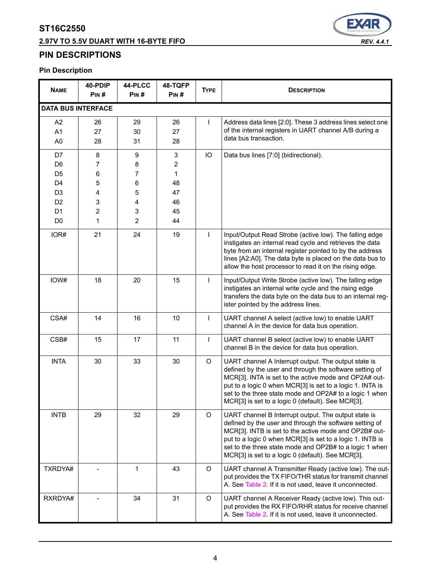# **2.97V TO 5.5V DUART WITH 16-BYTE FIFO** *REV. 4.4.1*



## **PIN DESCRIPTIONS**

## **Pin Description**

| <b>NAME</b>                                                                                                                      | 40-PDIP<br>PIN#                      | 44-PLCC<br>PIN#                                   | 48-TQFP<br>PIN#                                                                | <b>TYPE</b> | <b>DESCRIPTION</b>                                                                                                                                                                                                                                                                                                                                    |
|----------------------------------------------------------------------------------------------------------------------------------|--------------------------------------|---------------------------------------------------|--------------------------------------------------------------------------------|-------------|-------------------------------------------------------------------------------------------------------------------------------------------------------------------------------------------------------------------------------------------------------------------------------------------------------------------------------------------------------|
| <b>DATA BUS INTERFACE</b>                                                                                                        |                                      |                                                   |                                                                                |             |                                                                                                                                                                                                                                                                                                                                                       |
| A <sub>2</sub><br>A <sub>1</sub><br>A <sub>0</sub>                                                                               | 26<br>27<br>28                       | 29<br>30<br>31                                    | 26<br>27<br>28                                                                 | T           | Address data lines [2:0]. These 3 address lines select one<br>of the internal registers in UART channel A/B during a<br>data bus transaction.                                                                                                                                                                                                         |
| D7<br>D <sub>6</sub><br>D <sub>5</sub><br>D <sub>4</sub><br>D <sub>3</sub><br>D <sub>2</sub><br>D <sub>1</sub><br>D <sub>0</sub> | 8<br>7<br>6<br>5<br>4<br>3<br>2<br>1 | 9<br>8<br>7<br>6<br>5<br>4<br>3<br>$\overline{2}$ | $\ensuremath{\mathsf{3}}$<br>$\overline{c}$<br>1<br>48<br>47<br>46<br>45<br>44 | IO          | Data bus lines [7:0] (bidirectional).                                                                                                                                                                                                                                                                                                                 |
| IOR#                                                                                                                             | 21                                   | 24                                                | 19                                                                             | T           | Input/Output Read Strobe (active low). The falling edge<br>instigates an internal read cycle and retrieves the data<br>byte from an internal register pointed to by the address<br>lines [A2:A0]. The data byte is placed on the data bus to<br>allow the host processor to read it on the rising edge.                                               |
| IOW#                                                                                                                             | 18                                   | 20                                                | 15                                                                             | T           | Input/Output Write Strobe (active low). The falling edge<br>instigates an internal write cycle and the rising edge<br>transfers the data byte on the data bus to an internal reg-<br>ister pointed by the address lines.                                                                                                                              |
| CSA#                                                                                                                             | 14                                   | 16                                                | 10                                                                             | T           | UART channel A select (active low) to enable UART<br>channel A in the device for data bus operation.                                                                                                                                                                                                                                                  |
| CSB#                                                                                                                             | 15                                   | 17                                                | 11                                                                             | T           | UART channel B select (active low) to enable UART<br>channel B in the device for data bus operation.                                                                                                                                                                                                                                                  |
| <b>INTA</b>                                                                                                                      | 30                                   | 33                                                | 30                                                                             | $\circ$     | UART channel A Interrupt output. The output state is<br>defined by the user and through the software setting of<br>MCR[3]. INTA is set to the active mode and OP2A# out-<br>put to a logic 0 when MCR[3] is set to a logic 1. INTA is<br>set to the three state mode and OP2A# to a logic 1 when<br>MCR[3] is set to a logic 0 (default). See MCR[3]. |
| <b>INTB</b>                                                                                                                      | 29                                   | 32                                                | 29                                                                             | O           | UART channel B Interrupt output. The output state is<br>defined by the user and through the software setting of<br>MCR[3]. INTB is set to the active mode and OP2B# out-<br>put to a logic 0 when MCR[3] is set to a logic 1. INTB is<br>set to the three state mode and OP2B# to a logic 1 when<br>MCR[3] is set to a logic 0 (default). See MCR[3]. |
| TXRDYA#                                                                                                                          |                                      | $\mathbf{1}$                                      | 43                                                                             | $\circ$     | UART channel A Transmitter Ready (active low). The out-<br>put provides the TX FIFO/THR status for transmit channel<br>A. See Table 2. If it is not used, leave it unconnected.                                                                                                                                                                       |
| RXRDYA#                                                                                                                          |                                      | 34                                                | 31                                                                             | O           | UART channel A Receiver Ready (active low). This out-<br>put provides the RX FIFO/RHR status for receive channel<br>A. See Table 2. If it is not used, leave it unconnected.                                                                                                                                                                          |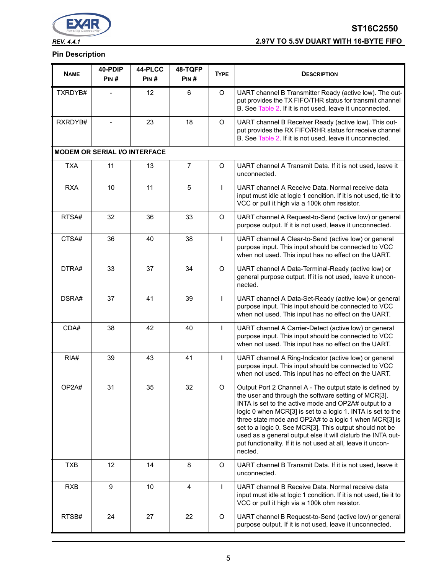

# **ST16C2550** *REV. 4.4.1* **2.97V TO 5.5V DUART WITH 16-BYTE FIFO**

#### **Pin Description**

| <b>NAME</b> | 40-PDIP                              | 44-PLCC | 48-TQFP        | <b>TYPE</b>    | <b>DESCRIPTION</b>                                                                                                                                                                                                                                                                                                                                                                                                                                                                                     |
|-------------|--------------------------------------|---------|----------------|----------------|--------------------------------------------------------------------------------------------------------------------------------------------------------------------------------------------------------------------------------------------------------------------------------------------------------------------------------------------------------------------------------------------------------------------------------------------------------------------------------------------------------|
|             | PIN#                                 | PIN#    | PIN#           |                |                                                                                                                                                                                                                                                                                                                                                                                                                                                                                                        |
| TXRDYB#     |                                      | 12      | 6              | O              | UART channel B Transmitter Ready (active low). The out-<br>put provides the TX FIFO/THR status for transmit channel<br>B. See Table 2. If it is not used, leave it unconnected.                                                                                                                                                                                                                                                                                                                        |
| RXRDYB#     |                                      | 23      | 18             | O              | UART channel B Receiver Ready (active low). This out-<br>put provides the RX FIFO/RHR status for receive channel<br>B. See Table 2. If it is not used, leave it unconnected.                                                                                                                                                                                                                                                                                                                           |
|             | <b>MODEM OR SERIAL I/O INTERFACE</b> |         |                |                |                                                                                                                                                                                                                                                                                                                                                                                                                                                                                                        |
| <b>TXA</b>  | 11                                   | 13      | $\overline{7}$ | O              | UART channel A Transmit Data. If it is not used, leave it<br>unconnected.                                                                                                                                                                                                                                                                                                                                                                                                                              |
| <b>RXA</b>  | 10                                   | 11      | 5              | $\mathbf{I}$   | UART channel A Receive Data. Normal receive data<br>input must idle at logic 1 condition. If it is not used, tie it to<br>VCC or pull it high via a 100k ohm resistor.                                                                                                                                                                                                                                                                                                                                 |
| RTSA#       | 32                                   | 36      | 33             | O              | UART channel A Request-to-Send (active low) or general<br>purpose output. If it is not used, leave it unconnected.                                                                                                                                                                                                                                                                                                                                                                                     |
| CTSA#       | 36                                   | 40      | 38             | $\mathbf{I}$   | UART channel A Clear-to-Send (active low) or general<br>purpose input. This input should be connected to VCC<br>when not used. This input has no effect on the UART.                                                                                                                                                                                                                                                                                                                                   |
| DTRA#       | 33                                   | 37      | 34             | O              | UART channel A Data-Terminal-Ready (active low) or<br>general purpose output. If it is not used, leave it uncon-<br>nected.                                                                                                                                                                                                                                                                                                                                                                            |
| DSRA#       | 37                                   | 41      | 39             | L              | UART channel A Data-Set-Ready (active low) or general<br>purpose input. This input should be connected to VCC<br>when not used. This input has no effect on the UART.                                                                                                                                                                                                                                                                                                                                  |
| CDA#        | 38                                   | 42      | 40             | L              | UART channel A Carrier-Detect (active low) or general<br>purpose input. This input should be connected to VCC<br>when not used. This input has no effect on the UART.                                                                                                                                                                                                                                                                                                                                  |
| RIA#        | 39                                   | 43      | 41             | $\overline{1}$ | UART channel A Ring-Indicator (active low) or general<br>purpose input. This input should be connected to VCC<br>when not used. This input has no effect on the UART.                                                                                                                                                                                                                                                                                                                                  |
| OP2A#       | 31                                   | 35      | 32             | O              | Output Port 2 Channel A - The output state is defined by<br>the user and through the software setting of MCR[3].<br>INTA is set to the active mode and OP2A# output to a<br>logic 0 when MCR[3] is set to a logic 1. INTA is set to the<br>three state mode and OP2A# to a logic 1 when MCR[3] is<br>set to a logic 0. See MCR[3]. This output should not be<br>used as a general output else it will disturb the INTA out-<br>put functionality. If it is not used at all, leave it uncon-<br>nected. |
| <b>TXB</b>  | 12                                   | 14      | 8              | $\mathsf O$    | UART channel B Transmit Data. If it is not used, leave it<br>unconnected.                                                                                                                                                                                                                                                                                                                                                                                                                              |
| <b>RXB</b>  | 9                                    | 10      | 4              | $\mathbf{I}$   | UART channel B Receive Data. Normal receive data<br>input must idle at logic 1 condition. If it is not used, tie it to<br>VCC or pull it high via a 100k ohm resistor.                                                                                                                                                                                                                                                                                                                                 |
| RTSB#       | 24                                   | 27      | 22             | $\mathsf O$    | UART channel B Request-to-Send (active low) or general<br>purpose output. If it is not used, leave it unconnected.                                                                                                                                                                                                                                                                                                                                                                                     |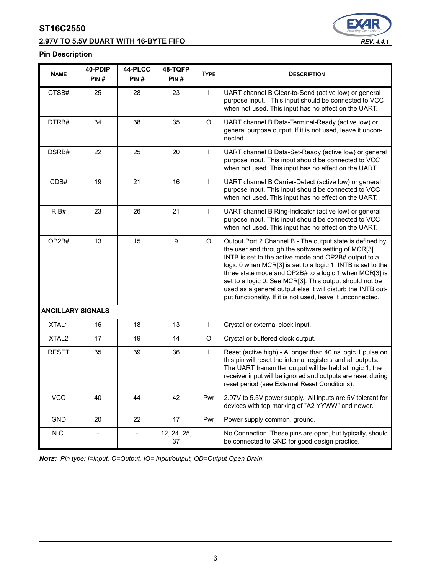## **2.97V TO 5.5V DUART WITH 16-BYTE FIFO** *REV. 4.4.1*



#### **Pin Description**

| <b>NAME</b>              | 40-PDIP<br>PIN# | 44-PLCC<br>PIN# | 48-TQFP<br>PIN#   | <b>TYPE</b>  | <b>DESCRIPTION</b>                                                                                                                                                                                                                                                                                                                                                                                                                                                                         |
|--------------------------|-----------------|-----------------|-------------------|--------------|--------------------------------------------------------------------------------------------------------------------------------------------------------------------------------------------------------------------------------------------------------------------------------------------------------------------------------------------------------------------------------------------------------------------------------------------------------------------------------------------|
| CTSB#                    | 25              | 28              | 23                | $\mathbf{I}$ | UART channel B Clear-to-Send (active low) or general<br>purpose input. This input should be connected to VCC<br>when not used. This input has no effect on the UART.                                                                                                                                                                                                                                                                                                                       |
| DTRB#                    | 34              | 38              | 35                | O            | UART channel B Data-Terminal-Ready (active low) or<br>general purpose output. If it is not used, leave it uncon-<br>nected.                                                                                                                                                                                                                                                                                                                                                                |
| DSRB#                    | 22              | 25              | 20                | L            | UART channel B Data-Set-Ready (active low) or general<br>purpose input. This input should be connected to VCC<br>when not used. This input has no effect on the UART.                                                                                                                                                                                                                                                                                                                      |
| CDB#                     | 19              | 21              | 16                | L            | UART channel B Carrier-Detect (active low) or general<br>purpose input. This input should be connected to VCC<br>when not used. This input has no effect on the UART.                                                                                                                                                                                                                                                                                                                      |
| RIB#                     | 23              | 26              | 21                | T            | UART channel B Ring-Indicator (active low) or general<br>purpose input. This input should be connected to VCC<br>when not used. This input has no effect on the UART.                                                                                                                                                                                                                                                                                                                      |
| OP2B#                    | 13              | 15              | $\boldsymbol{9}$  | $\circ$      | Output Port 2 Channel B - The output state is defined by<br>the user and through the software setting of MCR[3].<br>INTB is set to the active mode and OP2B# output to a<br>logic 0 when MCR[3] is set to a logic 1. INTB is set to the<br>three state mode and OP2B# to a logic 1 when MCR[3] is<br>set to a logic 0. See MCR[3]. This output should not be<br>used as a general output else it will disturb the INTB out-<br>put functionality. If it is not used, leave it unconnected. |
| <b>ANCILLARY SIGNALS</b> |                 |                 |                   |              |                                                                                                                                                                                                                                                                                                                                                                                                                                                                                            |
| XTAL1                    | 16              | 18              | 13                | T            | Crystal or external clock input.                                                                                                                                                                                                                                                                                                                                                                                                                                                           |
| XTAL <sub>2</sub>        | 17              | 19              | 14                | $\mathsf O$  | Crystal or buffered clock output.                                                                                                                                                                                                                                                                                                                                                                                                                                                          |
| <b>RESET</b>             | 35              | 39              | 36                | T            | Reset (active high) - A longer than 40 ns logic 1 pulse on<br>this pin will reset the internal registers and all outputs.<br>The UART transmitter output will be held at logic 1, the<br>receiver input will be ignored and outputs are reset during<br>reset period (see External Reset Conditions).                                                                                                                                                                                      |
| <b>VCC</b>               | 40              | 44              | 42                | Pwr          | 2.97V to 5.5V power supply. All inputs are 5V tolerant for<br>devices with top marking of "A2 YYWW" and newer.                                                                                                                                                                                                                                                                                                                                                                             |
| <b>GND</b>               | 20              | 22              | 17                | Pwr          | Power supply common, ground.                                                                                                                                                                                                                                                                                                                                                                                                                                                               |
| N.C.                     |                 |                 | 12, 24, 25,<br>37 |              | No Connection. These pins are open, but typically, should<br>be connected to GND for good design practice.                                                                                                                                                                                                                                                                                                                                                                                 |

*NOTE: Pin type: I=Input, O=Output, IO= Input/output, OD=Output Open Drain.*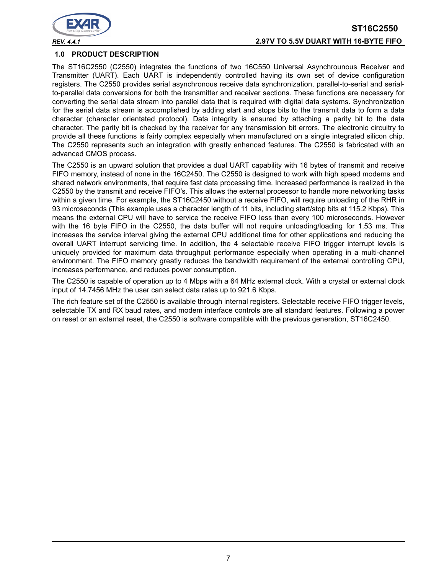

## **ST16C2550** *REV. 4.4.1* **2.97V TO 5.5V DUART WITH 16-BYTE FIFO**

#### **1.0 PRODUCT DESCRIPTION**

The ST16C2550 (C2550) integrates the functions of two 16C550 Universal Asynchrounous Receiver and Transmitter (UART). Each UART is independently controlled having its own set of device configuration registers. The C2550 provides serial asynchronous receive data synchronization, parallel-to-serial and serialto-parallel data conversions for both the transmitter and receiver sections. These functions are necessary for converting the serial data stream into parallel data that is required with digital data systems. Synchronization for the serial data stream is accomplished by adding start and stops bits to the transmit data to form a data character (character orientated protocol). Data integrity is ensured by attaching a parity bit to the data character. The parity bit is checked by the receiver for any transmission bit errors. The electronic circuitry to provide all these functions is fairly complex especially when manufactured on a single integrated silicon chip. The C2550 represents such an integration with greatly enhanced features. The C2550 is fabricated with an advanced CMOS process.

The C2550 is an upward solution that provides a dual UART capability with 16 bytes of transmit and receive FIFO memory, instead of none in the 16C2450. The C2550 is designed to work with high speed modems and shared network environments, that require fast data processing time. Increased performance is realized in the C2550 by the transmit and receive FIFO's. This allows the external processor to handle more networking tasks within a given time. For example, the ST16C2450 without a receive FIFO, will require unloading of the RHR in 93 microseconds (This example uses a character length of 11 bits, including start/stop bits at 115.2 Kbps). This means the external CPU will have to service the receive FIFO less than every 100 microseconds. However with the 16 byte FIFO in the C2550, the data buffer will not require unloading/loading for 1.53 ms. This increases the service interval giving the external CPU additional time for other applications and reducing the overall UART interrupt servicing time. In addition, the 4 selectable receive FIFO trigger interrupt levels is uniquely provided for maximum data throughput performance especially when operating in a multi-channel environment. The FIFO memory greatly reduces the bandwidth requirement of the external controlling CPU, increases performance, and reduces power consumption.

The C2550 is capable of operation up to 4 Mbps with a 64 MHz external clock. With a crystal or external clock input of 14.7456 MHz the user can select data rates up to 921.6 Kbps.

The rich feature set of the C2550 is available through internal registers. Selectable receive FIFO trigger levels, selectable TX and RX baud rates, and modem interface controls are all standard features. Following a power on reset or an external reset, the C2550 is software compatible with the previous generation, ST16C2450.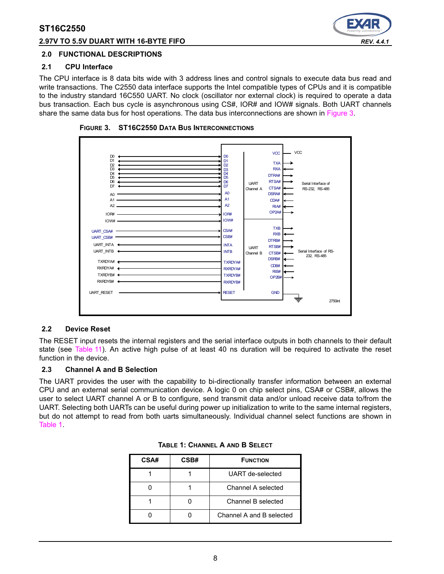#### **2.97V TO 5.5V DUART WITH 16-BYTE FIFO** *REV. 4.4.1*



#### **2.0 FUNCTIONAL DESCRIPTIONS**

#### **2.1 CPU Interface**

The CPU interface is 8 data bits wide with 3 address lines and control signals to execute data bus read and write transactions. The C2550 data interface supports the Intel compatible types of CPUs and it is compatible to the industry standard 16C550 UART. No clock (oscillator nor external clock) is required to operate a data bus transaction. Each bus cycle is asynchronous using CS#, IOR# and IOW# signals. Both UART channels share the same data bus for host operations. The data bus interconnections are shown in [Figure](#page-7-0) 3.



<span id="page-7-0"></span>**FIGURE 3. ST16C2550 DATA BUS INTERCONNECTIONS**

#### **2.2 Device Reset**

The RESET input resets the internal registers and the serial interface outputs in both channels to their default state (see [Table](#page-24-0) 11). An active high pulse of at least 40 ns duration will be required to activate the reset function in the device.

#### **2.3 Channel A and B Selection**

<span id="page-7-1"></span>The UART provides the user with the capability to bi-directionally transfer information between an external CPU and an external serial communication device. A logic 0 on chip select pins, CSA# or CSB#, allows the user to select UART channel A or B to configure, send transmit data and/or unload receive data to/from the UART. Selecting both UARTs can be useful during power up initialization to write to the same internal registers, but do not attempt to read from both uarts simultaneously. Individual channel select functions are shown in [Table](#page-7-1) 1.

| CSA# | CSB# | <b>FUNCTION</b>          |
|------|------|--------------------------|
|      |      | UART de-selected         |
|      |      | Channel A selected       |
|      |      | Channel B selected       |
|      |      | Channel A and B selected |

|  |  | TABLE 1: CHANNEL A AND B SELECT |  |  |  |
|--|--|---------------------------------|--|--|--|
|--|--|---------------------------------|--|--|--|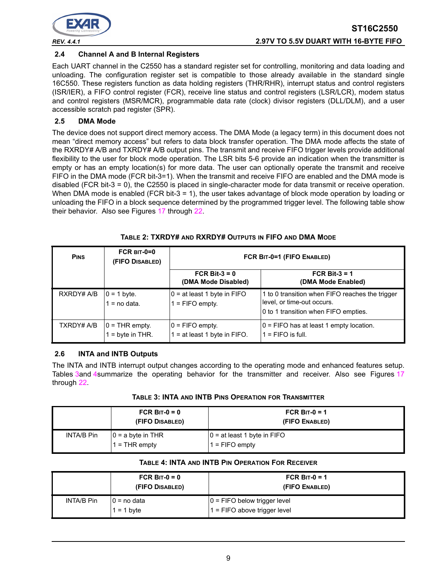

### **2.4 Channel A and B Internal Registers**

Each UART channel in the C2550 has a standard register set for controlling, monitoring and data loading and unloading. The configuration register set is compatible to those already available in the standard single 16C550. These registers function as data holding registers (THR/RHR), interrupt status and control registers (ISR/IER), a FIFO control register (FCR), receive line status and control registers (LSR/LCR), modem status and control registers (MSR/MCR), programmable data rate (clock) divisor registers (DLL/DLM), and a user accessible scratch pad register (SPR).

### **2.5 DMA Mode**

The device does not support direct memory access. The DMA Mode (a legacy term) in this document does not mean "direct memory access" but refers to data block transfer operation. The DMA mode affects the state of the RXRDY# A/B and TXRDY# A/B output pins. The transmit and receive FIFO trigger levels provide additional flexibility to the user for block mode operation. The LSR bits 5-6 provide an indication when the transmitter is empty or has an empty location(s) for more data. The user can optionally operate the transmit and receive FIFO in the DMA mode (FCR bit-3=1). When the transmit and receive FIFO are enabled and the DMA mode is disabled (FCR bit-3 = 0), the C2550 is placed in single-character mode for data transmit or receive operation. When DMA mode is enabled (FCR bit-3 = 1), the user takes advantage of block mode operation by loading or unloading the FIFO in a block sequence determined by the programmed trigger level. The following table show their behavior. Also see Figures [17](#page-29-0) through [22](#page-32-0).

<span id="page-8-0"></span>

| <b>PINS</b> | $FCR$ BIT-0=0<br>(FIFO DISABLED)     | FCR BIT-0=1 (FIFO ENABLED)                         |                                                                                                                       |  |  |
|-------------|--------------------------------------|----------------------------------------------------|-----------------------------------------------------------------------------------------------------------------------|--|--|
|             |                                      | FCR Bit- $3 = 0$<br>(DMA Mode Disabled)            | FCR Bit-3 = $1$<br>(DMA Mode Enabled)                                                                                 |  |  |
| RXRDY# A/B  | $ 0 = 1$ byte.<br>$=$ no data.       | $0 = at least 1 byte in FIFO$<br>$1 =$ FIFO empty. | 1 to 0 transition when FIFO reaches the trigger<br>level, or time-out occurs.<br>0 to 1 transition when FIFO empties. |  |  |
| TXRDY# A/B  | $0 = THR$ empty.<br>$=$ byte in THR. | $ 0 =$ FIFO empty.<br>= at least 1 byte in FIFO.   | $0 =$ FIFO has at least 1 empty location.<br>$1 =$ FIFO is full.                                                      |  |  |

### **TABLE 2: TXRDY# AND RXRDY# OUTPUTS IN FIFO AND DMA MODE**

## **2.6 INTA and INTB Outputs**

The INTA and INTB interrupt output changes according to the operating mode and enhanced features setup. Tables [3](#page-8-1)and [4](#page-8-2)summarize the operating behavior for the transmitter and receiver. Also see Figures [17](#page-29-0) through [22.](#page-32-0)

<span id="page-8-1"></span>

|            | FCR BIT- $0 = 0$<br>(FIFO DISABLED)     | FCR B <sub>IT-0</sub> = 1<br>(FIFO ENABLED)      |
|------------|-----------------------------------------|--------------------------------------------------|
| INTA/B Pin | $ 0 = a$ byte in THR<br>$1 =$ THR empty | 10 = at least 1 byte in FIFO<br>$1 =$ FIFO empty |

#### **TABLE 4: INTA AND INTB PIN OPERATION FOR RECEIVER**

<span id="page-8-2"></span>

|            | FCR BIT-0 = $0$<br>(FIFO DISABLED) | FCR BIT-0 = 1<br>(FIFO ENABLED)                                   |
|------------|------------------------------------|-------------------------------------------------------------------|
| INTA/B Pin | $ 0 =$ no data<br>$1 = 1$ byte     | $ 0 =$ FIFO below trigger level<br>$1 =$ FIFO above trigger level |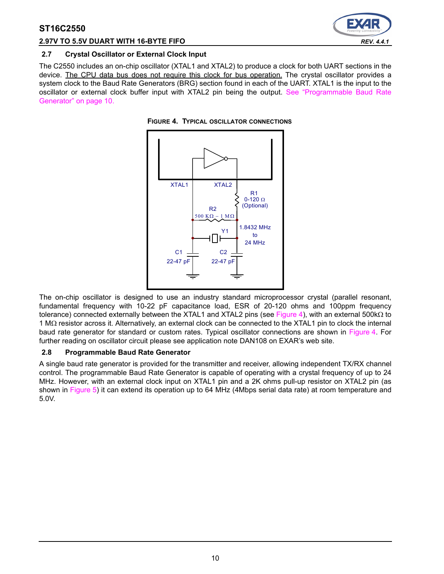



#### **2.7 Crystal Oscillator or External Clock Input**

The C2550 includes an on-chip oscillator (XTAL1 and XTAL2) to produce a clock for both UART sections in the device. The CPU data bus does not require this clock for bus operation. The crystal oscillator provides a system clock to the Baud Rate Generators (BRG) section found in each of the UART. XTAL1 is the input to the oscillator or external clock buffer input with XTAL2 pin being the output. [See "Programmable Baud Rate](#page-9-1) [Generator" on page](#page-9-1) 10.

<span id="page-9-0"></span>



The on-chip oscillator is designed to use an industry standard microprocessor crystal (parallel resonant, fundamental frequency with 10-22 pF capacitance load, ESR of 20-120 ohms and 100ppm frequency tolerance) connected externally between the XTAL1 and XTAL2 pins (see [Figure](#page-9-0) 4), with an external 500kΩ to 1 MΩ resistor across it. Alternatively, an external clock can be connected to the XTAL1 pin to clock the internal baud rate generator for standard or custom rates. Typical oscillator connections are shown in [Figure](#page-9-0) 4. For further reading on oscillator circuit please see application note DAN108 on EXAR's web site.

#### <span id="page-9-1"></span>**2.8 Programmable Baud Rate Generator**

A single baud rate generator is provided for the transmitter and receiver, allowing independent TX/RX channel control. The programmable Baud Rate Generator is capable of operating with a crystal frequency of up to 24 MHz. However, with an external clock input on XTAL1 pin and a 2K ohms pull-up resistor on XTAL2 pin (as shown in [Figure](#page-10-0) 5) it can extend its operation up to 64 MHz (4Mbps serial data rate) at room temperature and 5.0V.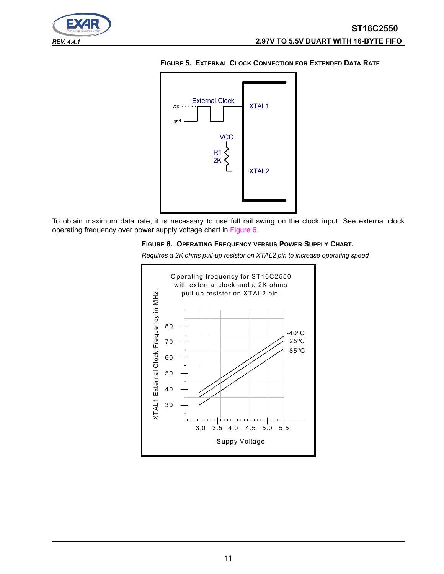



<span id="page-10-0"></span>**FIGURE 5. EXTERNAL CLOCK CONNECTION FOR EXTENDED DATA RATE**

To obtain maximum data rate, it is necessary to use full rail swing on the clock input. See external clock operating frequency over power supply voltage chart in [Figure](#page-10-1) 6.

#### <span id="page-10-1"></span>**FIGURE 6. OPERATING FREQUENCY VERSUS POWER SUPPLY CHART.**

*Requires a 2K ohms pull-up resistor on XTAL2 pin to increase operating speed*

XTAL2

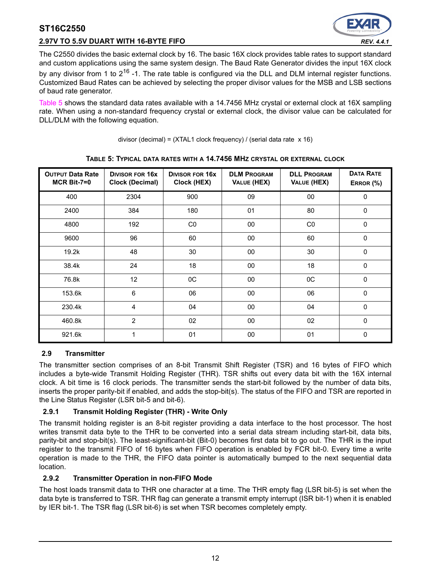## **2.97V TO 5.5V DUART WITH 16-BYTE FIFO** *REV. 4.4.1*



The C2550 divides the basic external clock by 16. The basic 16X clock provides table rates to support standard and custom applications using the same system design. The Baud Rate Generator divides the input 16X clock by any divisor from 1 to  $2^{16}$  -1. The rate table is configured via the DLL and DLM internal register functions. Customized Baud Rates can be achieved by selecting the proper divisor values for the MSB and LSB sections of baud rate generator.

[Table](#page-11-0) 5 shows the standard data rates available with a 14.7456 MHz crystal or external clock at 16X sampling rate. When using a non-standard frequency crystal or external clock, the divisor value can be calculated for DLL/DLM with the following equation.

divisor (decimal) =  $(XTAL1$  clock frequency) / (serial data rate  $x 16$ )

<span id="page-11-0"></span>

| <b>OUTPUT Data Rate</b><br>$MCR$ Bit-7=0 | <b>DIVISOR FOR 16X</b><br><b>Clock (Decimal)</b> | <b>DIVISOR FOR 16X</b><br>Clock (HEX) | <b>DLM PROGRAM</b><br>VALUE (HEX) | <b>DLL PROGRAM</b><br>VALUE (HEX) | <b>DATA RATE</b><br>ERROR (%) |
|------------------------------------------|--------------------------------------------------|---------------------------------------|-----------------------------------|-----------------------------------|-------------------------------|
| 400                                      | 2304                                             | 900                                   | 09                                | 00                                | 0                             |
| 2400                                     | 384                                              | 180                                   | 01                                | 80                                | 0                             |
| 4800                                     | 192                                              | CO                                    | 00                                | CO                                | 0                             |
| 9600                                     | 96                                               | 60                                    | 00                                | 60                                | 0                             |
| 19.2k                                    | 48                                               | 30                                    | 00                                | 30                                | 0                             |
| 38.4k                                    | 24                                               | 18                                    | 00                                | 18                                | $\Omega$                      |
| 76.8k                                    | 12                                               | 0C                                    | 00                                | 0C                                | $\Omega$                      |
| 153.6k                                   | 6                                                | 06                                    | 00                                | 06                                | 0                             |
| 230.4k                                   | 4                                                | 04                                    | 00                                | 04                                | 0                             |
| 460.8k                                   | $\overline{2}$                                   | 02                                    | 00                                | 02                                | 0                             |
| 921.6k                                   | 1                                                | 01                                    | 00                                | 01                                | 0                             |

#### **TABLE 5: TYPICAL DATA RATES WITH A 14.7456 MHZ CRYSTAL OR EXTERNAL CLOCK**

## <span id="page-11-1"></span>**2.9 Transmitter**

The transmitter section comprises of an 8-bit Transmit Shift Register (TSR) and 16 bytes of FIFO which includes a byte-wide Transmit Holding Register (THR). TSR shifts out every data bit with the 16X internal clock. A bit time is 16 clock periods. The transmitter sends the start-bit followed by the number of data bits, inserts the proper parity-bit if enabled, and adds the stop-bit(s). The status of the FIFO and TSR are reported in the Line Status Register (LSR bit-5 and bit-6).

## **2.9.1 Transmit Holding Register (THR) - Write Only**

The transmit holding register is an 8-bit register providing a data interface to the host processor. The host writes transmit data byte to the THR to be converted into a serial data stream including start-bit, data bits, parity-bit and stop-bit(s). The least-significant-bit (Bit-0) becomes first data bit to go out. The THR is the input register to the transmit FIFO of 16 bytes when FIFO operation is enabled by FCR bit-0. Every time a write operation is made to the THR, the FIFO data pointer is automatically bumped to the next sequential data location.

## **2.9.2 Transmitter Operation in non-FIFO Mode**

The host loads transmit data to THR one character at a time. The THR empty flag (LSR bit-5) is set when the data byte is transferred to TSR. THR flag can generate a transmit empty interrupt (ISR bit-1) when it is enabled by IER bit-1. The TSR flag (LSR bit-6) is set when TSR becomes completely empty.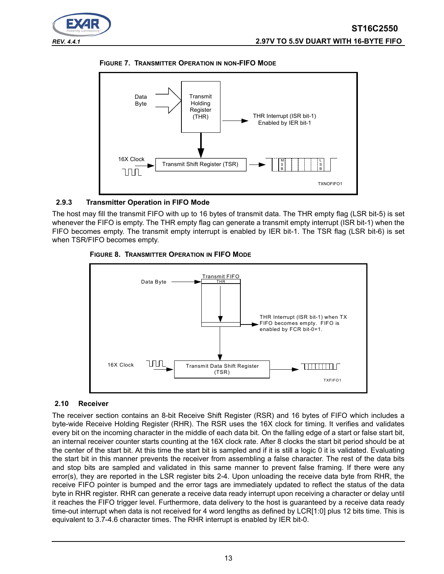





## **2.9.3 Transmitter Operation in FIFO Mode**

The host may fill the transmit FIFO with up to 16 bytes of transmit data. The THR empty flag (LSR bit-5) is set whenever the FIFO is empty. The THR empty flag can generate a transmit empty interrupt (ISR bit-1) when the FIFO becomes empty. The transmit empty interrupt is enabled by IER bit-1. The TSR flag (LSR bit-6) is set when TSR/FIFO becomes empty.



#### **FIGURE 8. TRANSMITTER OPERATION IN FIFO MODE**

## <span id="page-12-0"></span>**2.10 Receiver**

The receiver section contains an 8-bit Receive Shift Register (RSR) and 16 bytes of FIFO which includes a byte-wide Receive Holding Register (RHR). The RSR uses the 16X clock for timing. It verifies and validates every bit on the incoming character in the middle of each data bit. On the falling edge of a start or false start bit, an internal receiver counter starts counting at the 16X clock rate. After 8 clocks the start bit period should be at the center of the start bit. At this time the start bit is sampled and if it is still a logic 0 it is validated. Evaluating the start bit in this manner prevents the receiver from assembling a false character. The rest of the data bits and stop bits are sampled and validated in this same manner to prevent false framing. If there were any error(s), they are reported in the LSR register bits 2-4. Upon unloading the receive data byte from RHR, the receive FIFO pointer is bumped and the error tags are immediately updated to reflect the status of the data byte in RHR register. RHR can generate a receive data ready interrupt upon receiving a character or delay until it reaches the FIFO trigger level. Furthermore, data delivery to the host is guaranteed by a receive data ready time-out interrupt when data is not received for 4 word lengths as defined by LCR[1:0] plus 12 bits time. This is equivalent to 3.7-4.6 character times. The RHR interrupt is enabled by IER bit-0.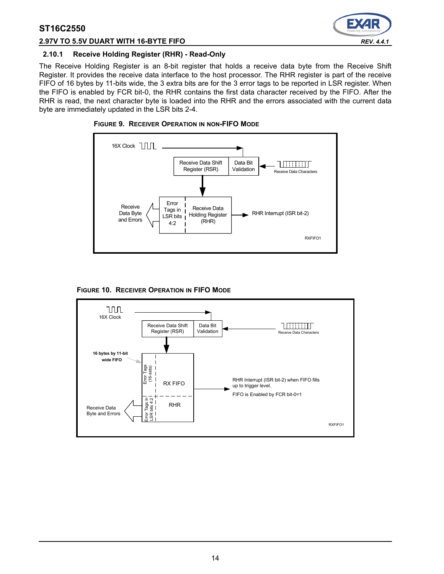

#### **2.97V TO 5.5V DUART WITH 16-BYTE FIFO** *REV. 4.4.1*

### **2.10.1 Receive Holding Register (RHR) - Read-Only**

The Receive Holding Register is an 8-bit register that holds a receive data byte from the Receive Shift Register. It provides the receive data interface to the host processor. The RHR register is part of the receive FIFO of 16 bytes by 11-bits wide, the 3 extra bits are for the 3 error tags to be reported in LSR register. When the FIFO is enabled by FCR bit-0, the RHR contains the first data character received by the FIFO. After the RHR is read, the next character byte is loaded into the RHR and the errors associated with the current data byte are immediately updated in the LSR bits 2-4.







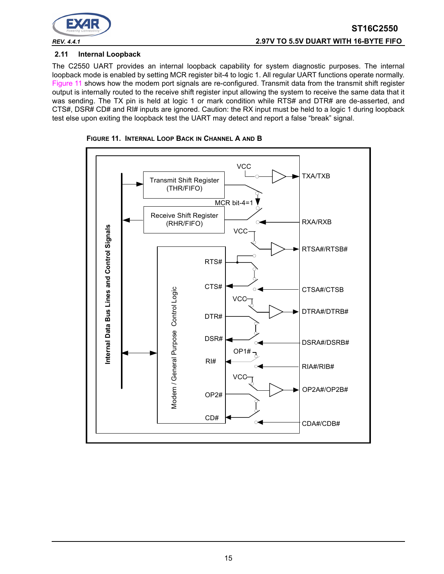

### **2.11 Internal Loopback**

The C2550 UART provides an internal loopback capability for system diagnostic purposes. The internal loopback mode is enabled by setting MCR register bit-4 to logic 1. All regular UART functions operate normally. [Figure](#page-14-0) 11 shows how the modem port signals are re-configured. Transmit data from the transmit shift register output is internally routed to the receive shift register input allowing the system to receive the same data that it was sending. The TX pin is held at logic 1 or mark condition while RTS# and DTR# are de-asserted, and CTS#, DSR# CD# and RI# inputs are ignored. Caution: the RX input must be held to a logic 1 during loopback test else upon exiting the loopback test the UART may detect and report a false "break" signal.



<span id="page-14-0"></span>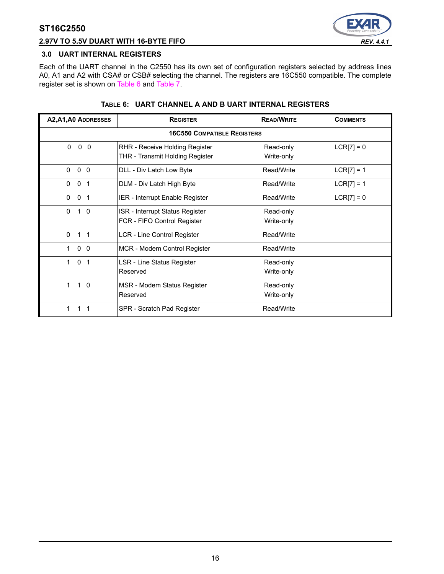

#### **2.97V TO 5.5V DUART WITH 16-BYTE FIFO** *REV. 4.4.1*

#### **3.0 UART INTERNAL REGISTERS**

Each of the UART channel in the C2550 has its own set of configuration registers selected by address lines A0, A1 and A2 with CSA# or CSB# selecting the channel. The registers are 16C550 compatible. The complete register set is shown on [Table](#page-15-0) 6 and [Table](#page-16-0) 7.

<span id="page-15-0"></span>

| A2, A1, A0 ADDRESSES               | <b>REGISTER</b>                                                   | <b>READ/WRITE</b>       | <b>COMMENTS</b> |  |  |  |  |  |
|------------------------------------|-------------------------------------------------------------------|-------------------------|-----------------|--|--|--|--|--|
|                                    | <b>16C550 COMPATIBLE REGISTERS</b>                                |                         |                 |  |  |  |  |  |
| $\mathbf{0}$<br>$0\quad 0$         | RHR - Receive Holding Register<br>THR - Transmit Holding Register | Read-only<br>Write-only | $LCR[7] = 0$    |  |  |  |  |  |
| $\Omega$<br>$\mathbf{0}$<br>0      | DLL - Div Latch Low Byte                                          | Read/Write              | $LCR[7] = 1$    |  |  |  |  |  |
| $\mathbf 0$<br>0<br>$\overline{1}$ | DLM - Div Latch High Byte                                         | Read/Write              | $LCR[7] = 1$    |  |  |  |  |  |
| 0<br>0<br>-1                       | IER - Interrupt Enable Register                                   | Read/Write              | $LCR[7] = 0$    |  |  |  |  |  |
| $\Omega$<br>$1\quad 0$             | ISR - Interrupt Status Register<br>FCR - FIFO Control Register    | Read-only<br>Write-only |                 |  |  |  |  |  |
| $\Omega$<br>$1 \quad 1$            | <b>LCR - Line Control Register</b>                                | Read/Write              |                 |  |  |  |  |  |
| 0 <sub>0</sub><br>$\mathbf 1$      | MCR - Modem Control Register                                      | Read/Write              |                 |  |  |  |  |  |
| $\mathbf{1}$<br>0 <sub>1</sub>     | LSR - Line Status Register<br>Reserved                            | Read-only<br>Write-only |                 |  |  |  |  |  |
| $\mathbf{1}$<br>$1\quad 0$         | MSR - Modem Status Register<br>Reserved                           | Read-only<br>Write-only |                 |  |  |  |  |  |
| 1.<br>1<br>1                       | SPR - Scratch Pad Register                                        | Read/Write              |                 |  |  |  |  |  |

#### **TABLE 6: UART CHANNEL A AND B UART INTERNAL REGISTERS**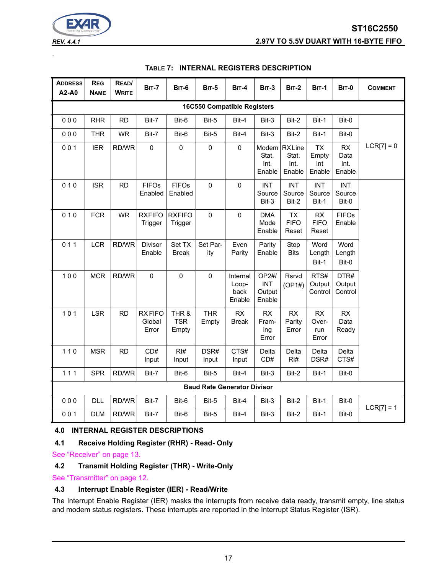*REV. 4.4.1* **2.97V TO 5.5V DUART WITH 16-BYTE FIFO**

EX

.

<span id="page-16-0"></span>

| <b>ADDRESS</b><br>A2-A0            | <b>REG</b><br><b>NAME</b> | READ/<br><b>WRITE</b> | <b>BIT-7</b>                     | <b>BIT-6</b>                 | <b>BIT-5</b>                       | <b>BIT-4</b>                        | <b>BIT-3</b>                            | <b>BIT-2</b>                            | <b>BIT-1</b>                        | <b>BIT-0</b>                  | <b>COMMENT</b> |
|------------------------------------|---------------------------|-----------------------|----------------------------------|------------------------------|------------------------------------|-------------------------------------|-----------------------------------------|-----------------------------------------|-------------------------------------|-------------------------------|----------------|
| <b>16C550 Compatible Registers</b> |                           |                       |                                  |                              |                                    |                                     |                                         |                                         |                                     |                               |                |
| 000                                | <b>RHR</b>                | <b>RD</b>             | Bit-7                            | Bit-6                        | Bit-5                              | Bit-4                               | Bit-3                                   | Bit-2                                   | Bit-1                               | Bit-0                         |                |
| 000                                | <b>THR</b>                | <b>WR</b>             | Bit-7                            | Bit-6                        | Bit-5                              | Bit-4                               | Bit-3                                   | Bit-2                                   | Bit-1                               | Bit-0                         |                |
| 001                                | <b>IER</b>                | RD/WR                 | $\mathbf 0$                      | $\mathbf 0$                  | $\mathbf 0$                        | 0                                   | Stat.<br>Int.<br>Enable                 | Modem RXLine<br>Stat.<br>Int.<br>Enable | <b>TX</b><br>Empty<br>Int<br>Enable | RX<br>Data<br>Int.<br>Enable  | $LCR[7] = 0$   |
| 010                                | <b>ISR</b>                | <b>RD</b>             | <b>FIFOs</b><br>Enabled          | <b>FIFOs</b><br>Enabled      | $\Omega$                           | $\Omega$                            | <b>INT</b><br>Source<br>Bit-3           | <b>INT</b><br>Source<br>Bit-2           | <b>INT</b><br>Source<br>Bit-1       | <b>INT</b><br>Source<br>Bit-0 |                |
| 010                                | <b>FCR</b>                | <b>WR</b>             | <b>RXFIFO</b><br>Trigger         | <b>RXFIFO</b><br>Trigger     | $\mathbf 0$                        | $\pmb{0}$                           | <b>DMA</b><br>Mode<br>Enable            | <b>TX</b><br><b>FIFO</b><br>Reset       | <b>RX</b><br><b>FIFO</b><br>Reset   | <b>FIFOs</b><br>Enable        |                |
| 011                                | <b>LCR</b>                | RD/WR                 | Divisor<br>Enable                | Set TX<br><b>Break</b>       | Set Par-<br>ity                    | Even<br>Parity                      | Parity<br>Enable                        | Stop<br><b>Bits</b>                     | Word<br>Length<br>Bit-1             | Word<br>Length<br>Bit-0       |                |
| 100                                | <b>MCR</b>                | RD/WR                 | 0                                | $\mathbf 0$                  | $\mathbf 0$                        | Internal<br>Loop-<br>back<br>Enable | OP2#/<br><b>INT</b><br>Output<br>Enable | Rsrvd<br>(OP1#)                         | RTS#<br>Output<br>Control           | DTR#<br>Output<br>Control     |                |
| 101                                | <b>LSR</b>                | <b>RD</b>             | <b>RXFIFO</b><br>Global<br>Error | THR &<br><b>TSR</b><br>Empty | <b>THR</b><br>Empty                | RX<br><b>Break</b>                  | <b>RX</b><br>Fram-<br>ing<br>Error      | <b>RX</b><br>Parity<br>Error            | <b>RX</b><br>Over-<br>run<br>Error  | <b>RX</b><br>Data<br>Ready    |                |
| $110$                              | <b>MSR</b>                | <b>RD</b>             | CD#<br>Input                     | RI#<br>Input                 | DSR#<br>Input                      | CTS#<br>Input                       | Delta<br>CD#                            | Delta<br>RI#                            | Delta<br>DSR#                       | Delta<br>CTS#                 |                |
| 111                                | <b>SPR</b>                | RD/WR                 | Bit-7                            | Bit-6                        | Bit-5                              | Bit-4                               | Bit-3                                   | Bit-2                                   | Bit-1                               | Bit-0                         |                |
|                                    |                           |                       |                                  |                              | <b>Baud Rate Generator Divisor</b> |                                     |                                         |                                         |                                     |                               |                |
| 000                                | <b>DLL</b>                | RD/WR                 | Bit-7                            | Bit-6                        | Bit-5                              | Bit-4                               | Bit-3                                   | Bit-2                                   | Bit-1                               | Bit-0                         | $LCR[7] = 1$   |
| 001                                | <b>DLM</b>                | RD/WR                 | Bit-7                            | Bit-6                        | Bit-5                              | Bit-4                               | Bit-3                                   | Bit-2                                   | Bit-1                               | Bit-0                         |                |

## **TABLE 7: INTERNAL REGISTERS DESCRIPTION**

## **4.0 INTERNAL REGISTER DESCRIPTIONS**

#### **4.1 Receive Holding Register (RHR) - Read- Only**

[See "Receiver" on page](#page-12-0) 13.

#### **4.2 Transmit Holding Register (THR) - Write-Only**

[See "Transmitter" on page](#page-11-1) 12.

#### **4.3 Interrupt Enable Register (IER) - Read/Write**

The Interrupt Enable Register (IER) masks the interrupts from receive data ready, transmit empty, line status and modem status registers. These interrupts are reported in the Interrupt Status Register (ISR).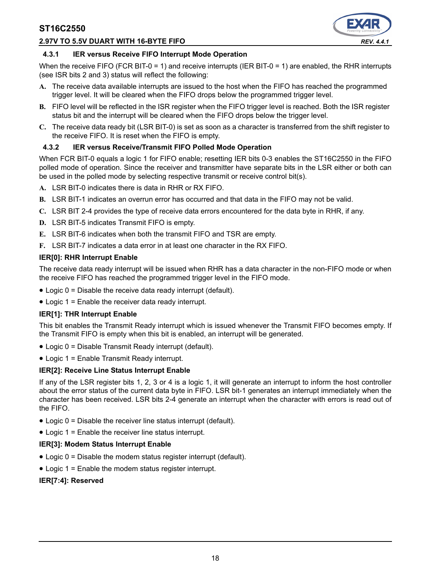#### **2.97V TO 5.5V DUART WITH 16-BYTE FIFO** *REV. 4.4.1*



#### **4.3.1 IER versus Receive FIFO Interrupt Mode Operation**

When the receive FIFO (FCR BIT-0 = 1) and receive interrupts (IER BIT-0 = 1) are enabled, the RHR interrupts (see ISR bits 2 and 3) status will reflect the following:

- **A.** The receive data available interrupts are issued to the host when the FIFO has reached the programmed trigger level. It will be cleared when the FIFO drops below the programmed trigger level.
- **B.** FIFO level will be reflected in the ISR register when the FIFO trigger level is reached. Both the ISR register status bit and the interrupt will be cleared when the FIFO drops below the trigger level.
- **C.** The receive data ready bit (LSR BIT-0) is set as soon as a character is transferred from the shift register to the receive FIFO. It is reset when the FIFO is empty.

#### **4.3.2 IER versus Receive/Transmit FIFO Polled Mode Operation**

When FCR BIT-0 equals a logic 1 for FIFO enable; resetting IER bits 0-3 enables the ST16C2550 in the FIFO polled mode of operation. Since the receiver and transmitter have separate bits in the LSR either or both can be used in the polled mode by selecting respective transmit or receive control bit(s).

- **A.** LSR BIT-0 indicates there is data in RHR or RX FIFO.
- **B.** LSR BIT-1 indicates an overrun error has occurred and that data in the FIFO may not be valid.
- **C.** LSR BIT 2-4 provides the type of receive data errors encountered for the data byte in RHR, if any.
- **D.** LSR BIT-5 indicates Transmit FIFO is empty.
- **E.** LSR BIT-6 indicates when both the transmit FIFO and TSR are empty.
- **F.** LSR BIT-7 indicates a data error in at least one character in the RX FIFO.

#### **IER[0]: RHR Interrupt Enable**

The receive data ready interrupt will be issued when RHR has a data character in the non-FIFO mode or when the receive FIFO has reached the programmed trigger level in the FIFO mode.

- Logic 0 = Disable the receive data ready interrupt (default).
- Logic 1 = Enable the receiver data ready interrupt.

#### **IER[1]: THR Interrupt Enable**

This bit enables the Transmit Ready interrupt which is issued whenever the Transmit FIFO becomes empty. If the Transmit FIFO is empty when this bit is enabled, an interrupt will be generated.

- Logic 0 = Disable Transmit Ready interrupt (default).
- Logic 1 = Enable Transmit Ready interrupt.

#### **IER[2]: Receive Line Status Interrupt Enable**

If any of the LSR register bits 1, 2, 3 or 4 is a logic 1, it will generate an interrupt to inform the host controller about the error status of the current data byte in FIFO. LSR bit-1 generates an interrupt immediately when the character has been received. LSR bits 2-4 generate an interrupt when the character with errors is read out of the FIFO.

- Logic 0 = Disable the receiver line status interrupt (default).
- Logic 1 = Enable the receiver line status interrupt.

#### **IER[3]: Modem Status Interrupt Enable**

- Logic 0 = Disable the modem status register interrupt (default).
- Logic 1 = Enable the modem status register interrupt.

#### **IER[7:4]: Reserved**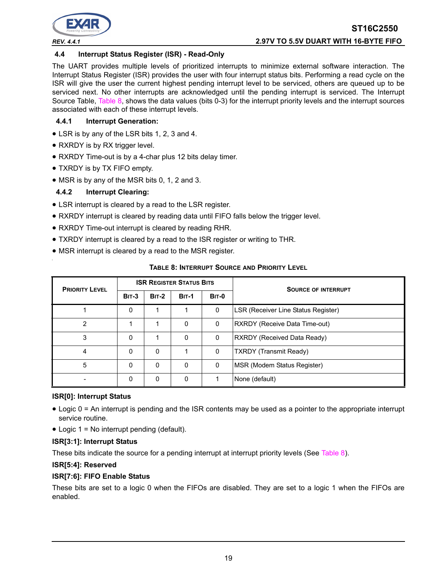

#### **4.4 Interrupt Status Register (ISR) - Read-Only**

The UART provides multiple levels of prioritized interrupts to minimize external software interaction. The Interrupt Status Register (ISR) provides the user with four interrupt status bits. Performing a read cycle on the ISR will give the user the current highest pending interrupt level to be serviced, others are queued up to be serviced next. No other interrupts are acknowledged until the pending interrupt is serviced. The Interrupt Source Table, [Table](#page-18-0) 8, shows the data values (bits 0-3) for the interrupt priority levels and the interrupt sources associated with each of these interrupt levels.

#### **4.4.1 Interrupt Generation:**

- LSR is by any of the LSR bits 1, 2, 3 and 4.
- RXRDY is by RX trigger level.
- RXRDY Time-out is by a 4-char plus 12 bits delay timer.
- TXRDY is by TX FIFO empty.
- MSR is by any of the MSR bits 0, 1, 2 and 3.

#### **4.4.2 Interrupt Clearing:**

- LSR interrupt is cleared by a read to the LSR register.
- RXRDY interrupt is cleared by reading data until FIFO falls below the trigger level.
- RXRDY Time-out interrupt is cleared by reading RHR.
- TXRDY interrupt is cleared by a read to the ISR register or writing to THR.
- MSR interrupt is cleared by a read to the MSR register.

<span id="page-18-0"></span>

| <b>PRIORITY LEVEL</b> | <b>ISR REGISTER STATUS BITS</b> |              |              |              | <b>SOURCE OF INTERRUPT</b>          |
|-----------------------|---------------------------------|--------------|--------------|--------------|-------------------------------------|
|                       | <b>BIT-3</b>                    | <b>BIT-2</b> | <b>BIT-1</b> | <b>BIT-0</b> |                                     |
|                       | 0                               |              |              | 0            | LSR (Receiver Line Status Register) |
| 2                     |                                 |              | 0            | 0            | RXRDY (Receive Data Time-out)       |
| 3                     | 0                               |              | 0            | 0            | <b>RXRDY (Received Data Ready)</b>  |
| 4                     | 0                               | 0            |              | 0            | <b>TXRDY (Transmit Ready)</b>       |
| 5                     | $\mathbf 0$                     | 0            | $\mathbf{0}$ | 0            | MSR (Modem Status Register)         |
|                       | 0                               | 0            | 0            |              | None (default)                      |

#### **TABLE 8: INTERRUPT SOURCE AND PRIORITY LEVEL**

#### **ISR[0]: Interrupt Status**

- Logic 0 = An interrupt is pending and the ISR contents may be used as a pointer to the appropriate interrupt service routine.
- Logic 1 = No interrupt pending (default).

#### **ISR[3:1]: Interrupt Status**

These bits indicate the source for a pending interrupt at interrupt priority levels (See [Table](#page-18-0) 8).

#### **ISR[5:4]: Reserved**

#### **ISR[7:6]: FIFO Enable Status**

These bits are set to a logic 0 when the FIFOs are disabled. They are set to a logic 1 when the FIFOs are enabled.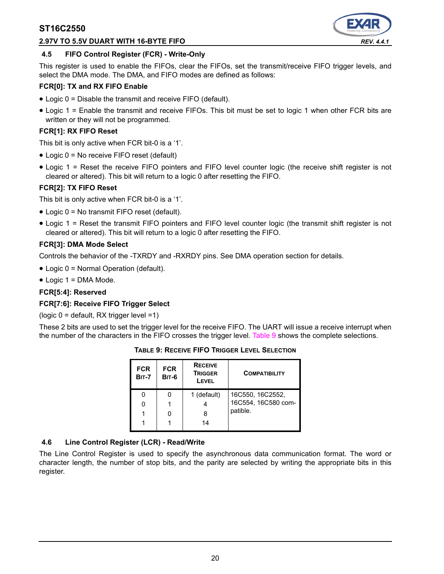#### **2.97V TO 5.5V DUART WITH 16-BYTE FIFO** *REV. 4.4.1*



#### **4.5 FIFO Control Register (FCR) - Write-Only**

This register is used to enable the FIFOs, clear the FIFOs, set the transmit/receive FIFO trigger levels, and select the DMA mode. The DMA, and FIFO modes are defined as follows:

#### **FCR[0]: TX and RX FIFO Enable**

- Logic 0 = Disable the transmit and receive FIFO (default).
- Logic 1 = Enable the transmit and receive FIFOs. This bit must be set to logic 1 when other FCR bits are written or they will not be programmed.

#### **FCR[1]: RX FIFO Reset**

This bit is only active when FCR bit-0 is a '1'.

- Logic 0 = No receive FIFO reset (default)
- Logic 1 = Reset the receive FIFO pointers and FIFO level counter logic (the receive shift register is not cleared or altered). This bit will return to a logic 0 after resetting the FIFO.

#### **FCR[2]: TX FIFO Reset**

This bit is only active when FCR bit-0 is a '1'.

- Logic 0 = No transmit FIFO reset (default).
- Logic 1 = Reset the transmit FIFO pointers and FIFO level counter logic (the transmit shift register is not cleared or altered). This bit will return to a logic 0 after resetting the FIFO.

#### **FCR[3]: DMA Mode Select**

Controls the behavior of the -TXRDY and -RXRDY pins. See DMA operation section for details.

- Logic 0 = Normal Operation (default).
- Logic 1 = DMA Mode.

#### **FCR[5:4]: Reserved**

#### **FCR[7:6]: Receive FIFO Trigger Select**

(logic 0 = default, RX trigger level =1)

<span id="page-19-0"></span>These 2 bits are used to set the trigger level for the receive FIFO. The UART will issue a receive interrupt when the number of the characters in the FIFO crosses the trigger level. [Table](#page-19-0) 9 shows the complete selections.

| <b>FCR</b><br><b>BIT-7</b> | <b>FCR</b><br><b>BIT-6</b> | <b>RECEIVE</b><br><b>TRIGGER</b><br>LEVEL | <b>COMPATIBILITY</b> |
|----------------------------|----------------------------|-------------------------------------------|----------------------|
|                            |                            | 1 (default)                               | 16C550, 16C2552,     |
|                            |                            |                                           | 16C554, 16C580 com-  |
|                            |                            | 8                                         | patible.             |
|                            |                            | 14                                        |                      |

**TABLE 9: RECEIVE FIFO TRIGGER LEVEL SELECTION**

#### **4.6 Line Control Register (LCR) - Read/Write**

The Line Control Register is used to specify the asynchronous data communication format. The word or character length, the number of stop bits, and the parity are selected by writing the appropriate bits in this register.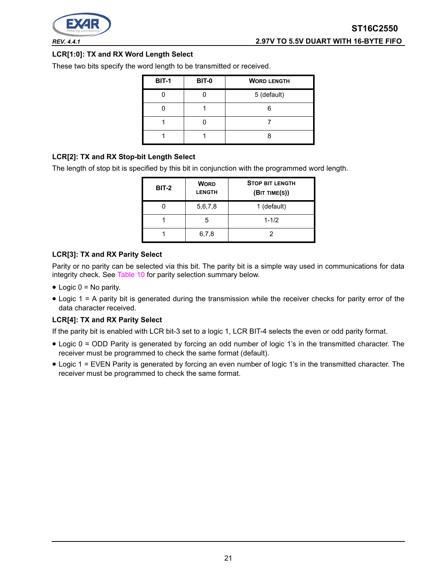

#### **LCR[1:0]: TX and RX Word Length Select**

These two bits specify the word length to be transmitted or received.

| <b>BIT-1</b> | <b>BIT-0</b> | <b>WORD LENGTH</b> |
|--------------|--------------|--------------------|
|              |              | 5 (default)        |
|              |              |                    |
|              |              |                    |
|              |              |                    |

#### **LCR[2]: TX and RX Stop-bit Length Select**

The length of stop bit is specified by this bit in conjunction with the programmed word length.

| <b>BIT-2</b> | <b>WORD</b><br><b>LENGTH</b> | <b>STOP BIT LENGTH</b><br>(BIT TIME(S)) |  |  |  |  |
|--------------|------------------------------|-----------------------------------------|--|--|--|--|
|              | 5,6,7,8                      | 1 (default)                             |  |  |  |  |
|              | 5                            | $1 - 1/2$                               |  |  |  |  |
|              | 6,7,8                        |                                         |  |  |  |  |

#### **LCR[3]: TX and RX Parity Select**

Parity or no parity can be selected via this bit. The parity bit is a simple way used in communications for data integrity check. See [Table](#page-21-0) 10 for parity selection summary below.

- $\bullet$  Logic 0 = No parity.
- Logic 1 = A parity bit is generated during the transmission while the receiver checks for parity error of the data character received.

#### **LCR[4]: TX and RX Parity Select**

If the parity bit is enabled with LCR bit-3 set to a logic 1, LCR BIT-4 selects the even or odd parity format.

- Logic 0 = ODD Parity is generated by forcing an odd number of logic 1's in the transmitted character. The receiver must be programmed to check the same format (default).
- Logic 1 = EVEN Parity is generated by forcing an even number of logic 1's in the transmitted character. The receiver must be programmed to check the same format.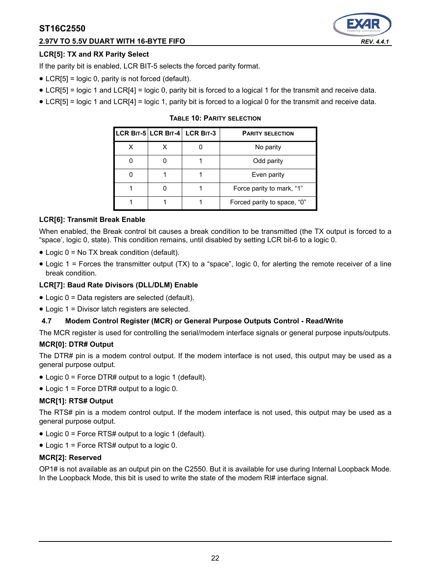## **2.97V TO 5.5V DUART WITH 16-BYTE FIFO** *REV. 4.4.1*

## **LCR[5]: TX and RX Parity Select**

If the parity bit is enabled, LCR BIT-5 selects the forced parity format.

- LCR[5] = logic 0, parity is not forced (default).
- LCR[5] = logic 1 and LCR[4] = logic 0, parity bit is forced to a logical 1 for the transmit and receive data.
- <span id="page-21-0"></span>• LCR[5] = logic 1 and LCR[4] = logic 1, parity bit is forced to a logical 0 for the transmit and receive data.

|  | LCR BIT-5 LCR BIT-4 LCR BIT-3 | <b>PARITY SELECTION</b>     |
|--|-------------------------------|-----------------------------|
|  |                               | No parity                   |
|  |                               | Odd parity                  |
|  |                               | Even parity                 |
|  |                               | Force parity to mark, "1"   |
|  |                               | Forced parity to space, "0" |

#### **TABLE 10: PARITY SELECTION**

#### **LCR[6]: Transmit Break Enable**

When enabled, the Break control bit causes a break condition to be transmitted (the TX output is forced to a "space', logic 0, state). This condition remains, until disabled by setting LCR bit-6 to a logic 0.

- Logic 0 = No TX break condition (default).
- Logic 1 = Forces the transmitter output (TX) to a "space", logic 0, for alerting the remote receiver of a line break condition.

### **LCR[7]: Baud Rate Divisors (DLL/DLM) Enable**

- Logic 0 = Data registers are selected (default).
- Logic 1 = Divisor latch registers are selected.

#### **4.7 Modem Control Register (MCR) or General Purpose Outputs Control - Read/Write**

The MCR register is used for controlling the serial/modem interface signals or general purpose inputs/outputs.

#### **MCR[0]: DTR# Output**

The DTR# pin is a modem control output. If the modem interface is not used, this output may be used as a general purpose output.

- Logic 0 = Force DTR# output to a logic 1 (default).
- Logic 1 = Force DTR# output to a logic 0.

#### **MCR[1]: RTS# Output**

The RTS# pin is a modem control output. If the modem interface is not used, this output may be used as a general purpose output.

- Logic 0 = Force RTS# output to a logic 1 (default).
- Logic 1 = Force RTS# output to a logic 0.

#### **MCR[2]: Reserved**

OP1# is not available as an output pin on the C2550. But it is available for use during Internal Loopback Mode. In the Loopback Mode, this bit is used to write the state of the modem RI# interface signal.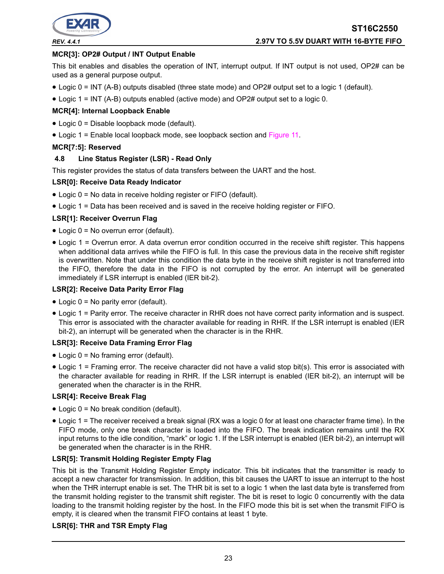

#### **MCR[3]: OP2# Output / INT Output Enable**

This bit enables and disables the operation of INT, interrupt output. If INT output is not used, OP2# can be used as a general purpose output.

- Logic 0 = INT (A-B) outputs disabled (three state mode) and OP2# output set to a logic 1 (default).
- Logic 1 = INT (A-B) outputs enabled (active mode) and OP2# output set to a logic 0.

#### **MCR[4]: Internal Loopback Enable**

- Logic 0 = Disable loopback mode (default).
- Logic 1 = Enable local loopback mode, see loopback section and [Figure](#page-14-0) 11.

#### **MCR[7:5]: Reserved**

#### **4.8 Line Status Register (LSR) - Read Only**

This register provides the status of data transfers between the UART and the host.

#### **LSR[0]: Receive Data Ready Indicator**

- Logic 0 = No data in receive holding register or FIFO (default).
- Logic 1 = Data has been received and is saved in the receive holding register or FIFO.

#### **LSR[1]: Receiver Overrun Flag**

- Logic 0 = No overrun error (default).
- Logic 1 = Overrun error. A data overrun error condition occurred in the receive shift register. This happens when additional data arrives while the FIFO is full. In this case the previous data in the receive shift register is overwritten. Note that under this condition the data byte in the receive shift register is not transferred into the FIFO, therefore the data in the FIFO is not corrupted by the error. An interrupt will be generated immediately if LSR interrupt is enabled (IER bit-2).

#### **LSR[2]: Receive Data Parity Error Flag**

- Logic 0 = No parity error (default).
- Logic 1 = Parity error. The receive character in RHR does not have correct parity information and is suspect. This error is associated with the character available for reading in RHR. If the LSR interrupt is enabled (IER bit-2), an interrupt will be generated when the character is in the RHR.

#### **LSR[3]: Receive Data Framing Error Flag**

- Logic 0 = No framing error (default).
- Logic 1 = Framing error. The receive character did not have a valid stop bit(s). This error is associated with the character available for reading in RHR. If the LSR interrupt is enabled (IER bit-2), an interrupt will be generated when the character is in the RHR.

#### **LSR[4]: Receive Break Flag**

- Logic 0 = No break condition (default).
- Logic 1 = The receiver received a break signal (RX was a logic 0 for at least one character frame time). In the FIFO mode, only one break character is loaded into the FIFO. The break indication remains until the RX input returns to the idle condition, "mark" or logic 1. If the LSR interrupt is enabled (IER bit-2), an interrupt will be generated when the character is in the RHR.

#### **LSR[5]: Transmit Holding Register Empty Flag**

This bit is the Transmit Holding Register Empty indicator. This bit indicates that the transmitter is ready to accept a new character for transmission. In addition, this bit causes the UART to issue an interrupt to the host when the THR interrupt enable is set. The THR bit is set to a logic 1 when the last data byte is transferred from the transmit holding register to the transmit shift register. The bit is reset to logic 0 concurrently with the data loading to the transmit holding register by the host. In the FIFO mode this bit is set when the transmit FIFO is empty, it is cleared when the transmit FIFO contains at least 1 byte.

### **LSR[6]: THR and TSR Empty Flag**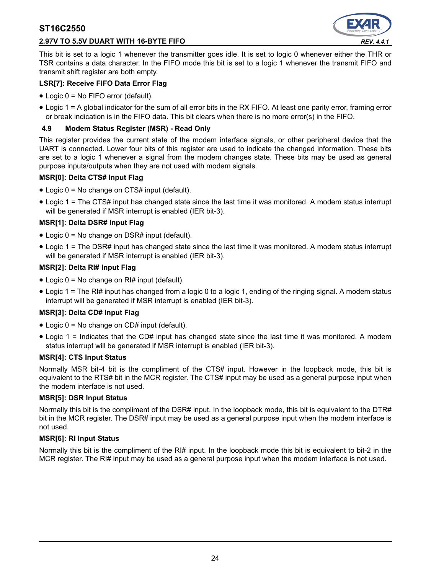#### **2.97V TO 5.5V DUART WITH 16-BYTE FIFO** *REV. 4.4.1*



This bit is set to a logic 1 whenever the transmitter goes idle. It is set to logic 0 whenever either the THR or TSR contains a data character. In the FIFO mode this bit is set to a logic 1 whenever the transmit FIFO and transmit shift register are both empty.

#### **LSR[7]: Receive FIFO Data Error Flag**

- Logic 0 = No FIFO error (default).
- Logic 1 = A global indicator for the sum of all error bits in the RX FIFO. At least one parity error, framing error or break indication is in the FIFO data. This bit clears when there is no more error(s) in the FIFO.

#### **4.9 Modem Status Register (MSR) - Read Only**

This register provides the current state of the modem interface signals, or other peripheral device that the UART is connected. Lower four bits of this register are used to indicate the changed information. These bits are set to a logic 1 whenever a signal from the modem changes state. These bits may be used as general purpose inputs/outputs when they are not used with modem signals.

#### **MSR[0]: Delta CTS# Input Flag**

- Logic 0 = No change on CTS# input (default).
- Logic 1 = The CTS# input has changed state since the last time it was monitored. A modem status interrupt will be generated if MSR interrupt is enabled (IER bit-3).

#### **MSR[1]: Delta DSR# Input Flag**

- Logic 0 = No change on DSR# input (default).
- Logic 1 = The DSR# input has changed state since the last time it was monitored. A modem status interrupt will be generated if MSR interrupt is enabled (IER bit-3).

#### **MSR[2]: Delta RI# Input Flag**

- Logic  $0 = No$  change on RI# input (default).
- Logic 1 = The RI# input has changed from a logic 0 to a logic 1, ending of the ringing signal. A modem status interrupt will be generated if MSR interrupt is enabled (IER bit-3).

#### **MSR[3]: Delta CD# Input Flag**

- Logic 0 = No change on CD# input (default).
- Logic 1 = Indicates that the CD# input has changed state since the last time it was monitored. A modem status interrupt will be generated if MSR interrupt is enabled (IER bit-3).

#### **MSR[4]: CTS Input Status**

Normally MSR bit-4 bit is the compliment of the CTS# input. However in the loopback mode, this bit is equivalent to the RTS# bit in the MCR register. The CTS# input may be used as a general purpose input when the modem interface is not used.

#### **MSR[5]: DSR Input Status**

Normally this bit is the compliment of the DSR# input. In the loopback mode, this bit is equivalent to the DTR# bit in the MCR register. The DSR# input may be used as a general purpose input when the modem interface is not used.

#### **MSR[6]: RI Input Status**

Normally this bit is the compliment of the RI# input. In the loopback mode this bit is equivalent to bit-2 in the MCR register. The RI# input may be used as a general purpose input when the modem interface is not used.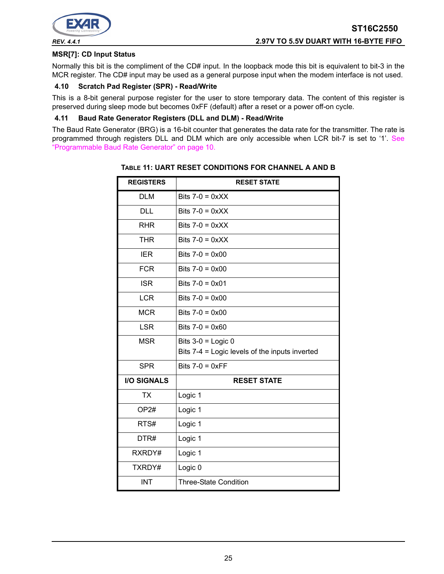

#### **MSR[7]: CD Input Status**

Normally this bit is the compliment of the CD# input. In the loopback mode this bit is equivalent to bit-3 in the MCR register. The CD# input may be used as a general purpose input when the modem interface is not used.

#### **4.10 Scratch Pad Register (SPR) - Read/Write**

This is a 8-bit general purpose register for the user to store temporary data. The content of this register is preserved during sleep mode but becomes 0xFF (default) after a reset or a power off-on cycle.

#### **4.11 Baud Rate Generator Registers (DLL and DLM) - Read/Write**

<span id="page-24-0"></span>The Baud Rate Generator (BRG) is a 16-bit counter that generates the data rate for the transmitter. The rate is programmed through registers DLL and DLM which are only accessible when LCR bit-7 is set to '1'. See ["Programmable Baud Rate Generator" on page](#page-9-1) 10.

| <b>REGISTERS</b>   | <b>RESET STATE</b>                             |
|--------------------|------------------------------------------------|
| <b>DLM</b>         | Bits $7-0 = 0 \times XX$                       |
| <b>DLL</b>         | Bits $7-0 = 0 \times XX$                       |
| <b>RHR</b>         | Bits $7-0 = 0 \times XX$                       |
| <b>THR</b>         | Bits $7-0 = 0 \times X$                        |
| <b>IER</b>         | Bits $7-0 = 0 \times 00$                       |
| <b>FCR</b>         | Bits $7-0 = 0 \times 00$                       |
| <b>ISR</b>         | Bits $7-0 = 0 \times 01$                       |
| <b>LCR</b>         | Bits $7-0 = 0 \times 00$                       |
| <b>MCR</b>         | Bits $7-0 = 0 \times 00$                       |
| <b>LSR</b>         | Bits $7-0 = 0 \times 60$                       |
| <b>MSR</b>         | Bits $3-0$ = Logic 0                           |
|                    | Bits 7-4 = Logic levels of the inputs inverted |
| <b>SPR</b>         | Bits $7-0 = 0 \times FF$                       |
| <b>I/O SIGNALS</b> | <b>RESET STATE</b>                             |
| <b>TX</b>          | Logic 1                                        |
| OP <sub>2#</sub>   | Logic 1                                        |
| RTS#               | Logic 1                                        |
| DTR#               | Logic 1                                        |
| RXRDY#             | Logic 1                                        |
| TXRDY#             | Logic 0                                        |
| <b>INT</b>         | <b>Three-State Condition</b>                   |

#### **TABLE 11: UART RESET CONDITIONS FOR CHANNEL A AND B**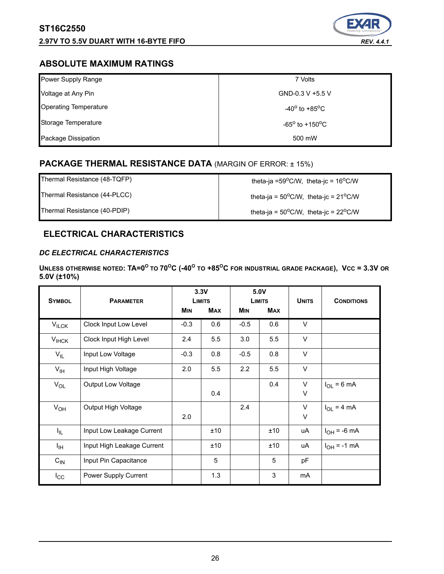### **2.97V TO 5.5V DUART WITH 16-BYTE FIFO** *REV. 4.4.1*



## **ABSOLUTE MAXIMUM RATINGS**

| Power Supply Range           | 7 Volts                           |
|------------------------------|-----------------------------------|
| Voltage at Any Pin           | GND-0.3 V +5.5 V                  |
| <b>Operating Temperature</b> | $-40^{\circ}$ to $+85^{\circ}$ C  |
| Storage Temperature          | $-65^{\circ}$ to $+150^{\circ}$ C |
| Package Dissipation          | 500 mW                            |

## **PACKAGE THERMAL RESISTANCE DATA** (MARGIN OF ERROR: ± 15%)

Thermal Resistance (44-PLCC)  $\qquad \qquad$  theta-ja = 50<sup>o</sup>C/W, theta-jc = 21<sup>o</sup>C/W

Thermal Resistance (48-TQFP) theta-ja =59°C/W, theta-jc = 16°C/W

Thermal Resistance (40-PDIP)  $\qquad \qquad$  theta-ja = 50<sup>o</sup>C/W, theta-jc = 22<sup>o</sup>C/W

## **ELECTRICAL CHARACTERISTICS**

## *DC ELECTRICAL CHARACTERISTICS*

**UNLESS OTHERWISE NOTED: TA=0<sup>O</sup> TO <sup>O</sup> <sup>O</sup> TO +85OC FOR INDUSTRIAL GRADE PACKAGE), VCC = 3.3V OR 70 C (-40 5.0V (±10%)** 

| <b>SYMBOL</b>   | <b>PARAMETER</b>           | 3.3V<br><b>LIMITS</b> |            | 5.0V<br><b>LIMITS</b> |            | <b>UNITS</b> | <b>CONDITIONS</b> |
|-----------------|----------------------------|-----------------------|------------|-----------------------|------------|--------------|-------------------|
|                 |                            | <b>MIN</b>            | <b>MAX</b> | <b>MIN</b>            | <b>MAX</b> |              |                   |
| $V_{ILCK}$      | Clock Input Low Level      | $-0.3$                | 0.6        | $-0.5$                | 0.6        | $\vee$       |                   |
| $V_{I HCK}$     | Clock Input High Level     | 2.4                   | 5.5        | 3.0                   | 5.5        | $\vee$       |                   |
| $V_{IL}$        | Input Low Voltage          | $-0.3$                | 0.8        | $-0.5$                | 0.8        | $\vee$       |                   |
| $V_{\text{IH}}$ | Input High Voltage         | 2.0                   | 5.5        | 2.2                   | 5.5        | $\vee$       |                   |
| $V_{OL}$        | <b>Output Low Voltage</b>  |                       |            |                       | 0.4        | $\vee$       | $I_{OL}$ = 6 mA   |
|                 |                            |                       | 0.4        |                       |            | $\sf V$      |                   |
| $V_{OH}$        | Output High Voltage        |                       |            | 2.4                   |            | $\vee$       | $I_{OL}$ = 4 mA   |
|                 |                            | 2.0                   |            |                       |            | $\vee$       |                   |
| I <sub>IL</sub> | Input Low Leakage Current  |                       | ±10        |                       | ±10        | uA           | $I_{OH} = -6$ mA  |
| Iн              | Input High Leakage Current |                       | ±10        |                       | ±10        | uA           | $I_{OH} = -1$ mA  |
| $C_{IN}$        | Input Pin Capacitance      |                       | 5          |                       | 5          | pF           |                   |
| $I_{\rm CC}$    | Power Supply Current       |                       | 1.3        |                       | 3          | mA           |                   |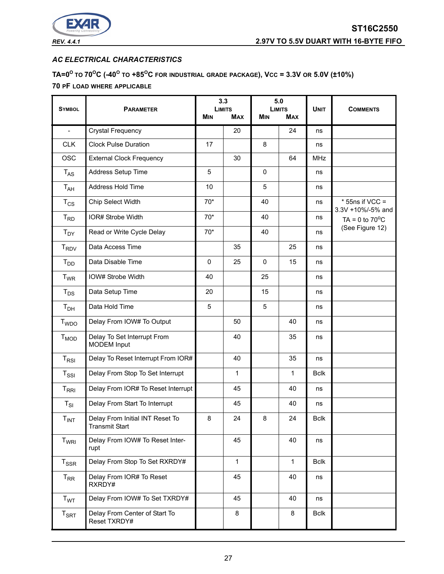

## *AC ELECTRICAL CHARACTERISTICS*

**TA=0O TO 70OC (-40O TO +85OC FOR INDUSTRIAL GRADE PACKAGE), VCC = 3.3V OR 5.0V (±10%) 70 PF LOAD WHERE APPLICABLE**

| <b>SYMBOL</b>              | <b>PARAMETER</b>                                         | <b>LIMITS</b> | 3.3          |                          | 5.0<br><b>LIMITS</b> | <b>UNIT</b> | <b>COMMENTS</b>                        |
|----------------------------|----------------------------------------------------------|---------------|--------------|--------------------------|----------------------|-------------|----------------------------------------|
|                            |                                                          | <b>MIN</b>    | <b>MAX</b>   | <b>MIN</b><br><b>MAX</b> |                      |             |                                        |
| $\frac{1}{2}$              | <b>Crystal Frequency</b>                                 |               | 20           |                          | 24                   | ns          |                                        |
| <b>CLK</b>                 | <b>Clock Pulse Duration</b>                              | 17            |              | 8                        |                      | ns          |                                        |
| <b>OSC</b>                 | <b>External Clock Frequency</b>                          |               | 30           |                          | 64                   | <b>MHz</b>  |                                        |
| $T_{AS}$                   | Address Setup Time                                       | 5             |              | $\mathbf 0$              |                      | ns          |                                        |
| $T_{AH}$                   | Address Hold Time                                        | 10            |              | 5                        |                      | ns          |                                        |
| $T_{CS}$                   | Chip Select Width                                        | $70*$         |              | 40                       |                      | ns          | $*$ 55ns if VCC =<br>3.3V +10%/-5% and |
| $T_{RD}$                   | IOR# Strobe Width                                        | $70*$         |              | 40                       |                      | ns          | TA = $0$ to $70^{\circ}$ C             |
| $T_{DY}$                   | Read or Write Cycle Delay                                | $70*$         |              | 40                       |                      | ns          | (See Figure 12)                        |
| <b>T<sub>RDV</sub></b>     | Data Access Time                                         |               | 35           |                          | 25                   | ns          |                                        |
| $T_{DD}$                   | Data Disable Time                                        | 0             | 25           | $\mathbf 0$              | 15                   | ns          |                                        |
| <b>T</b> <sub>WR</sub>     | IOW# Strobe Width                                        | 40            |              | 25                       |                      | ns          |                                        |
| $T_{DS}$                   | Data Setup Time                                          | 20            |              | 15                       |                      | ns          |                                        |
| T <sub>DH</sub>            | Data Hold Time                                           | 5             |              | 5                        |                      | ns          |                                        |
| <b>T</b> <sub>WDO</sub>    | Delay From IOW# To Output                                |               | 50           |                          | 40                   | ns          |                                        |
| <b>T<sub>MOD</sub></b>     | Delay To Set Interrupt From<br><b>MODEM</b> Input        |               | 40           |                          | 35                   | ns          |                                        |
| $T_{RSI}$                  | Delay To Reset Interrupt From IOR#                       |               | 40           |                          | 35                   | ns          |                                        |
| $T_{\rm SSI}$              | Delay From Stop To Set Interrupt                         |               | $\mathbf{1}$ |                          | 1                    | <b>Bclk</b> |                                        |
| $T_{\sf RRI}$              | Delay From IOR# To Reset Interrupt                       |               | 45           |                          | 40                   | ns          |                                        |
| $\mathsf{T}_{\mathsf{SI}}$ | Delay From Start To Interrupt                            |               | 45           |                          | 40                   | ns          |                                        |
| $T_{INT}$                  | Delay From Initial INT Reset To<br><b>Transmit Start</b> | 8             | 24           | 8                        | 24                   | <b>Bclk</b> |                                        |
| T <sub>WRI</sub>           | Delay From IOW# To Reset Inter-<br>rupt                  |               | 45           |                          | 40                   | ns          |                                        |
| $T_{SSR}$                  | Delay From Stop To Set RXRDY#                            |               | $\mathbf{1}$ |                          | $\mathbf{1}$         | <b>Bclk</b> |                                        |
| $T_{\sf RR}$               | Delay From IOR# To Reset<br>RXRDY#                       |               | 45           |                          | 40                   | ns          |                                        |
| T <sub>WT</sub>            | Delay From IOW# To Set TXRDY#                            |               | 45           |                          | 40                   | ns          |                                        |
| $T_{\sf SRT}$              | Delay From Center of Start To<br>Reset TXRDY#            |               | 8            |                          | 8                    | <b>Bclk</b> |                                        |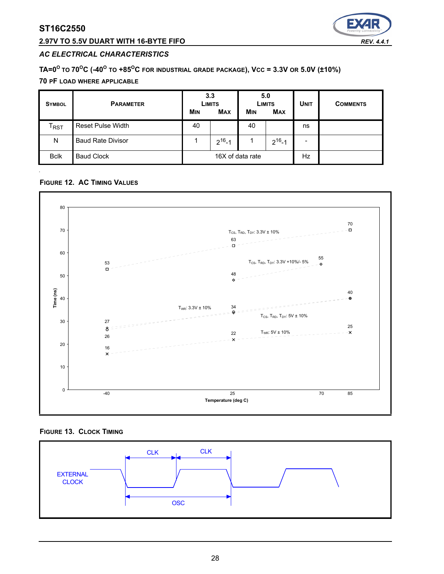## **2.97V TO 5.5V DUART WITH 16-BYTE FIFO** *REV. 4.4.1*



#### *AC ELECTRICAL CHARACTERISTICS*

## **TA=0O TO 70OC (-40O TO +85OC FOR INDUSTRIAL GRADE PACKAGE), VCC = 3.3V OR 5.0V (±10%)**

#### **70 PF LOAD WHERE APPLICABLE**

| <b>SYMBOL</b>               | <b>PARAMETER</b>         | 3.3<br>LIMITS<br><b>MIN</b><br><b>MAX</b> |              | 5.0<br>LIMITS<br><b>MIN</b><br><b>MAX</b> |              | <b>UNIT</b> | <b>COMMENTS</b> |
|-----------------------------|--------------------------|-------------------------------------------|--------------|-------------------------------------------|--------------|-------------|-----------------|
| $\mathsf{T}_{\mathsf{RST}}$ | <b>Reset Pulse Width</b> | 40                                        |              | 40                                        |              | ns          |                 |
| N                           | <b>Baud Rate Divisor</b> |                                           | $2^{16} - 1$ |                                           | $2^{16} - 1$ | -           |                 |
| <b>Bclk</b>                 | <b>Baud Clock</b>        | 16X of data rate                          |              |                                           | Hz           |             |                 |

#### <span id="page-27-0"></span>**FIGURE 12. AC TIMING VALUES**



**FIGURE 13. CLOCK TIMING**

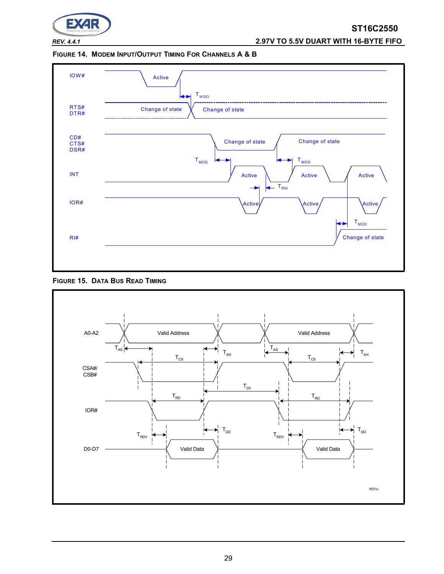

*REV. 4.4.1* **2.97V TO 5.5V DUART WITH 16-BYTE FIFO**

**FIGURE 14. MODEM INPUT/OUTPUT TIMING FOR CHANNELS A & B**



<span id="page-28-0"></span>

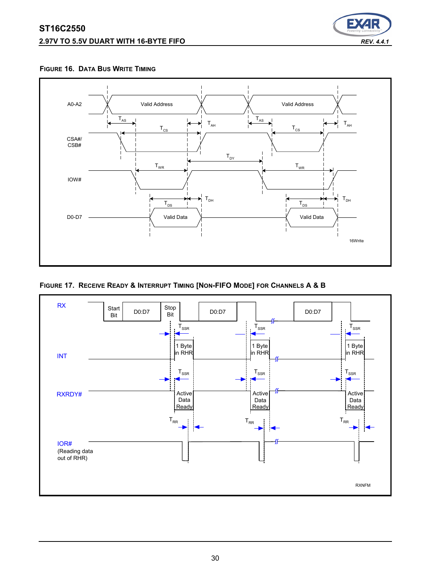# **ST16C2550 2.97V TO 5.5V DUART WITH 16-BYTE FIFO** *REV. 4.4.1*



<span id="page-29-1"></span>**FIGURE 16. DATA BUS WRITE TIMING**



<span id="page-29-0"></span>**FIGURE 17. RECEIVE READY & INTERRUPT TIMING [NON-FIFO MODE] FOR CHANNELS A & B**

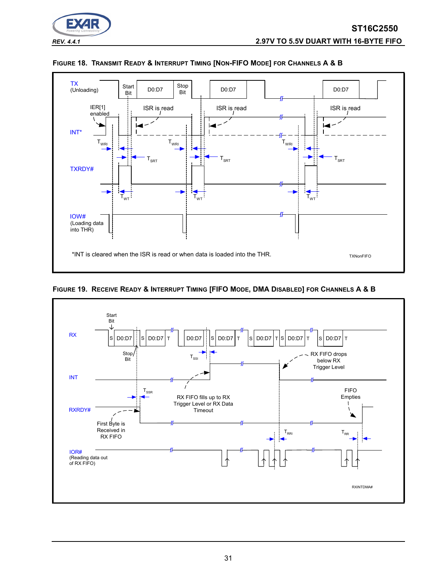



#### **FIGURE 18. TRANSMIT READY & INTERRUPT TIMING [NON-FIFO MODE] FOR CHANNELS A & B**



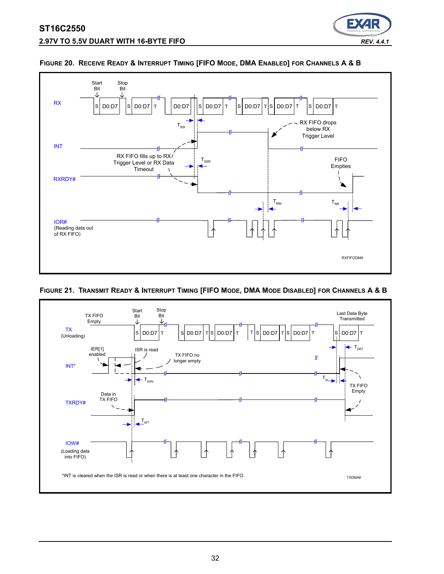



#### **FIGURE 20. RECEIVE READY & INTERRUPT TIMING [FIFO MODE, DMA ENABLED] FOR CHANNELS A & B**

#### **FIGURE 21. TRANSMIT READY & INTERRUPT TIMING [FIFO MODE, DMA MODE DISABLED] FOR CHANNELS A & B**

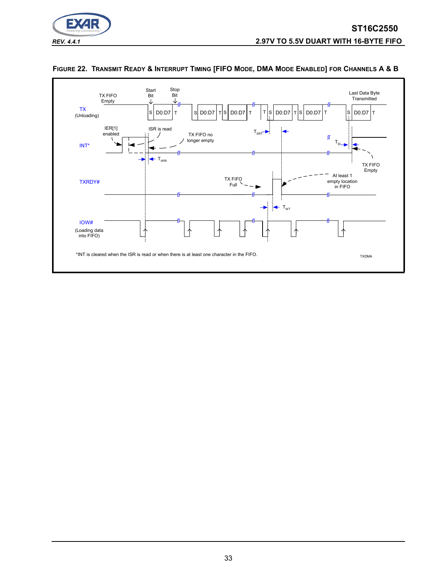



## <span id="page-32-0"></span>**FIGURE 22. TRANSMIT READY & INTERRUPT TIMING [FIFO MODE, DMA MODE ENABLED] FOR CHANNELS A & B**

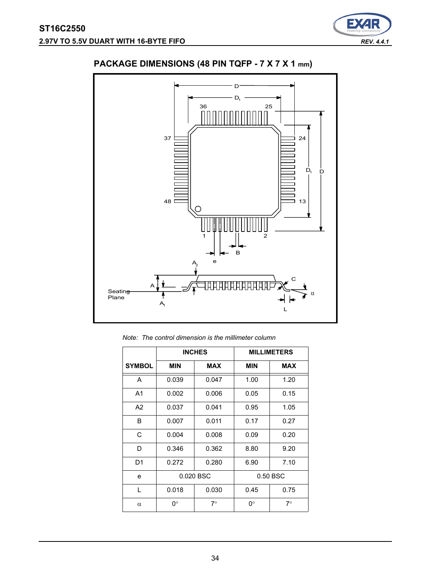

# **PACKAGE DIMENSIONS (48 PIN TQFP - 7 X 7 X 1 mm)**



*Note: The control dimension is the millimeter column*

|                |            | <b>INCHES</b> |            | <b>MILLIMETERS</b> |
|----------------|------------|---------------|------------|--------------------|
| <b>SYMBOL</b>  | <b>MIN</b> | <b>MAX</b>    | <b>MIN</b> | <b>MAX</b>         |
| A              | 0.039      | 0.047         | 1.00       | 1.20               |
| A <sub>1</sub> | 0.002      | 0.006         | 0.05       | 0.15               |
| A <sub>2</sub> | 0.037      | 0.041         | 0.95       | 1.05               |
| B              | 0.007      | 0.011         | 0.17       | 0.27               |
| C              | 0.004      | 0.008         | 0.09       | 0.20               |
| D              | 0.346      | 0.362         | 8.80       | 9.20               |
| D <sub>1</sub> | 0.272      | 0.280         | 6.90       | 7.10               |
| e              |            | 0.020 BSC     |            | 0.50 BSC           |
| L              | 0.018      | 0.030         | 0.45       | 0.75               |
| $\alpha$       | 0°         | $7^\circ$     | 0°         | $7^\circ$          |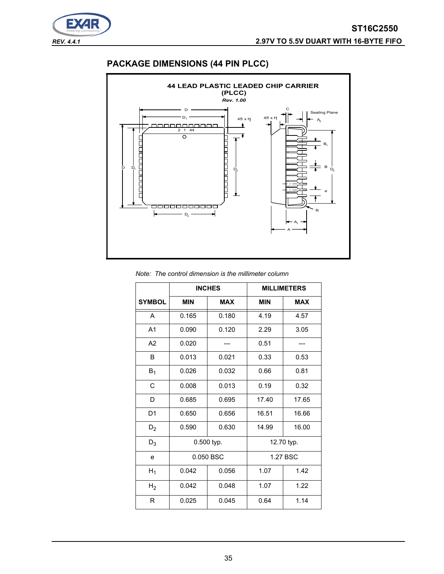

# **PACKAGE DIMENSIONS (44 PIN PLCC)**



#### *Note: The control dimension is the millimeter column*

|                | <b>INCHES</b> |            | <b>MILLIMETERS</b> |            |
|----------------|---------------|------------|--------------------|------------|
| <b>SYMBOL</b>  | <b>MIN</b>    | <b>MAX</b> | <b>MIN</b>         | <b>MAX</b> |
| A              | 0.165         | 0.180      | 4.19               | 4.57       |
| A <sub>1</sub> | 0.090         | 0.120      | 2.29               | 3.05       |
| A2             | 0.020         |            | 0.51               |            |
| B              | 0.013         | 0.021      | 0.33               | 0.53       |
| $B_1$          | 0.026         | 0.032      | 0.66               | 0.81       |
| C              | 0.008         | 0.013      | 0.19               | 0.32       |
| D              | 0.685         | 0.695      | 17.40              | 17.65      |
| D <sub>1</sub> | 0.650         | 0.656      | 16.51              | 16.66      |
| $D_2$          | 0.590         | 0.630      | 14.99              | 16.00      |
| $D_3$          | 0.500 typ.    |            | 12.70 typ.         |            |
| e              | 0.050 BSC     |            | 1.27 BSC           |            |
| $H_1$          | 0.042         | 0.056      | 1.07               | 1.42       |
| H <sub>2</sub> | 0.042         | 0.048      | 1.07               | 1.22       |
| R              | 0.025         | 0.045      | 0.64               | 1.14       |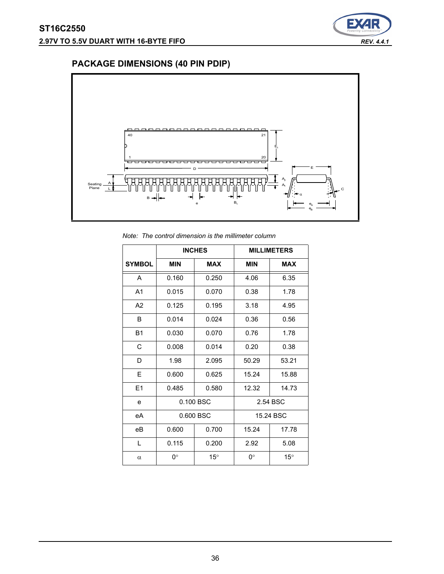

# **PACKAGE DIMENSIONS (40 PIN PDIP)**



*Note: The control dimension is the millimeter column*

|                | <b>INCHES</b> |              | <b>MILLIMETERS</b> |              |
|----------------|---------------|--------------|--------------------|--------------|
| <b>SYMBOL</b>  | <b>MIN</b>    | <b>MAX</b>   | <b>MIN</b>         | <b>MAX</b>   |
| A              | 0.160         | 0.250        | 4.06               | 6.35         |
| A <sub>1</sub> | 0.015         | 0.070        | 0.38               | 1.78         |
| A2             | 0.125         | 0.195        | 3.18               | 4.95         |
| B              | 0.014         | 0.024        | 0.36               | 0.56         |
| <b>B1</b>      | 0.030         | 0.070        | 0.76               | 1.78         |
| C              | 0.008         | 0.014        | 0.20               | 0.38         |
| D              | 1.98          | 2.095        | 50.29              | 53.21        |
| E              | 0.600         | 0.625        | 15.24              | 15.88        |
| E1             | 0.485         | 0.580        | 12.32              | 14.73        |
| e              | 0.100 BSC     |              | 2.54 BSC           |              |
| eA             | 0.600 BSC     |              | 15.24 BSC          |              |
| eB             | 0.600         | 0.700        | 15.24              | 17.78        |
| L              | 0.115         | 0.200        | 2.92               | 5.08         |
| $\alpha$       | 0°            | $15^{\circ}$ | 0°                 | $15^{\circ}$ |